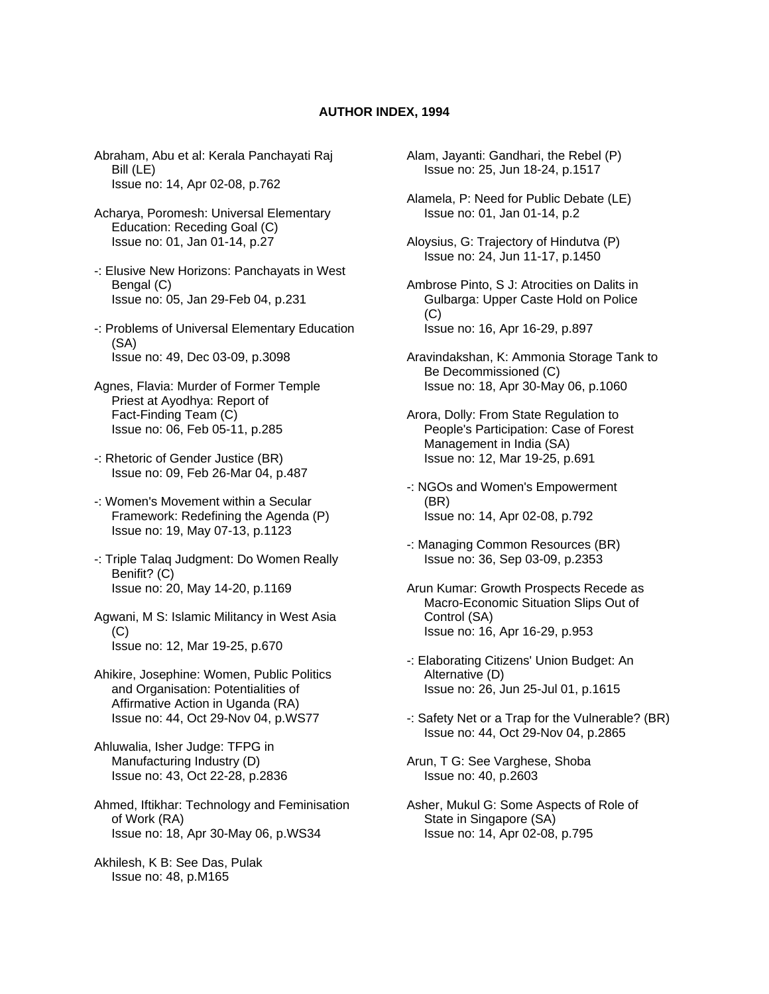## **AUTHOR INDEX, 1994**

- Abraham, Abu et al: Kerala Panchayati Raj Bill (LE) Issue no: 14, Apr 02-08, p.762
- Acharya, Poromesh: Universal Elementary Education: Receding Goal (C) Issue no: 01, Jan 01-14, p.27
- -: Elusive New Horizons: Panchayats in West Bengal (C) Issue no: 05, Jan 29-Feb 04, p.231
- -: Problems of Universal Elementary Education (SA) Issue no: 49, Dec 03-09, p.3098
- Agnes, Flavia: Murder of Former Temple Priest at Ayodhya: Report of Fact-Finding Team (C) Issue no: 06, Feb 05-11, p.285
- -: Rhetoric of Gender Justice (BR) Issue no: 09, Feb 26-Mar 04, p.487
- -: Women's Movement within a Secular Framework: Redefining the Agenda (P) Issue no: 19, May 07-13, p.1123
- -: Triple Talaq Judgment: Do Women Really Benifit? (C) Issue no: 20, May 14-20, p.1169
- Agwani, M S: Islamic Militancy in West Asia  $(C)$ Issue no: 12, Mar 19-25, p.670
- Ahikire, Josephine: Women, Public Politics and Organisation: Potentialities of Affirmative Action in Uganda (RA) Issue no: 44, Oct 29-Nov 04, p.WS77
- Ahluwalia, Isher Judge: TFPG in Manufacturing Industry (D) Issue no: 43, Oct 22-28, p.2836
- Ahmed, Iftikhar: Technology and Feminisation of Work (RA) Issue no: 18, Apr 30-May 06, p.WS34
- Akhilesh, K B: See Das, Pulak Issue no: 48, p.M165
- Alam, Jayanti: Gandhari, the Rebel (P) Issue no: 25, Jun 18-24, p.1517
- Alamela, P: Need for Public Debate (LE) Issue no: 01, Jan 01-14, p.2
- Aloysius, G: Trajectory of Hindutva (P) Issue no: 24, Jun 11-17, p.1450
- Ambrose Pinto, S J: Atrocities on Dalits in Gulbarga: Upper Caste Hold on Police  $(C)$ Issue no: 16, Apr 16-29, p.897
- Aravindakshan, K: Ammonia Storage Tank to Be Decommissioned (C) Issue no: 18, Apr 30-May 06, p.1060
- Arora, Dolly: From State Regulation to People's Participation: Case of Forest Management in India (SA) Issue no: 12, Mar 19-25, p.691
- -: NGOs and Women's Empowerment (BR) Issue no: 14, Apr 02-08, p.792
- -: Managing Common Resources (BR) Issue no: 36, Sep 03-09, p.2353
- Arun Kumar: Growth Prospects Recede as Macro-Economic Situation Slips Out of Control (SA) Issue no: 16, Apr 16-29, p.953
- -: Elaborating Citizens' Union Budget: An Alternative (D) Issue no: 26, Jun 25-Jul 01, p.1615
- -: Safety Net or a Trap for the Vulnerable? (BR) Issue no: 44, Oct 29-Nov 04, p.2865
- Arun, T G: See Varghese, Shoba Issue no: 40, p.2603
- Asher, Mukul G: Some Aspects of Role of State in Singapore (SA) Issue no: 14, Apr 02-08, p.795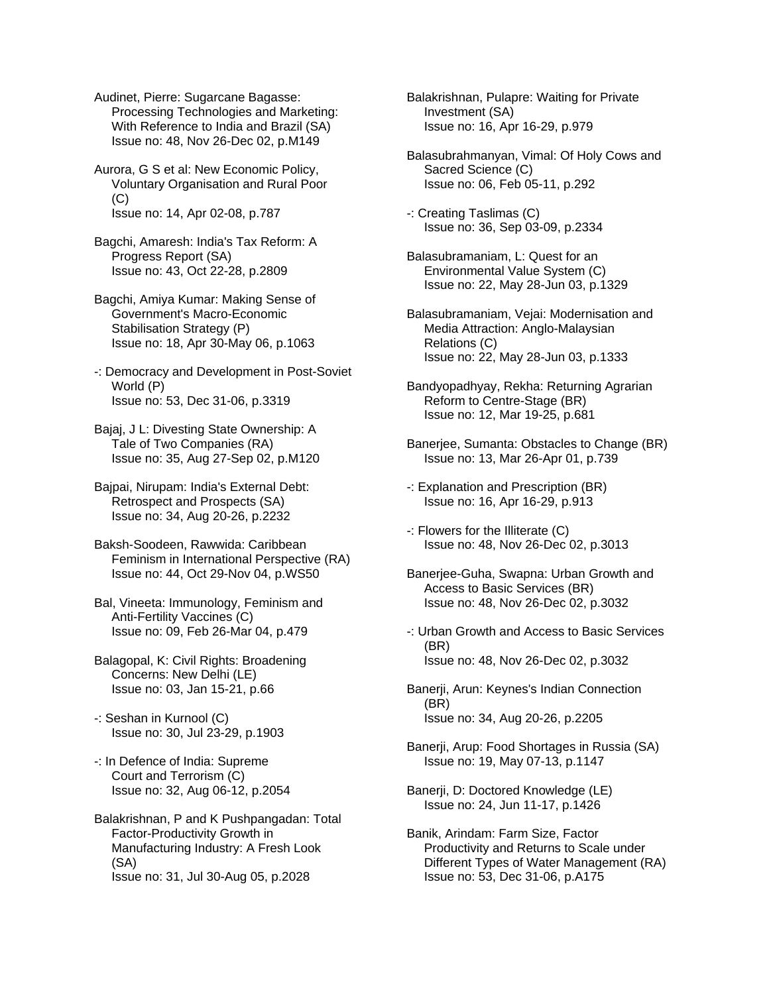Audinet, Pierre: Sugarcane Bagasse: Processing Technologies and Marketing: With Reference to India and Brazil (SA) Issue no: 48, Nov 26-Dec 02, p.M149

Aurora, G S et al: New Economic Policy, Voluntary Organisation and Rural Poor (C) Issue no: 14, Apr 02-08, p.787

Bagchi, Amaresh: India's Tax Reform: A Progress Report (SA) Issue no: 43, Oct 22-28, p.2809

Bagchi, Amiya Kumar: Making Sense of Government's Macro-Economic Stabilisation Strategy (P) Issue no: 18, Apr 30-May 06, p.1063

-: Democracy and Development in Post-Soviet World (P) Issue no: 53, Dec 31-06, p.3319

Bajaj, J L: Divesting State Ownership: A Tale of Two Companies (RA) Issue no: 35, Aug 27-Sep 02, p.M120

Bajpai, Nirupam: India's External Debt: Retrospect and Prospects (SA) Issue no: 34, Aug 20-26, p.2232

Baksh-Soodeen, Rawwida: Caribbean Feminism in International Perspective (RA) Issue no: 44, Oct 29-Nov 04, p.WS50

Bal, Vineeta: Immunology, Feminism and Anti-Fertility Vaccines (C) Issue no: 09, Feb 26-Mar 04, p.479

Balagopal, K: Civil Rights: Broadening Concerns: New Delhi (LE) Issue no: 03, Jan 15-21, p.66

-: Seshan in Kurnool (C) Issue no: 30, Jul 23-29, p.1903

-: In Defence of India: Supreme Court and Terrorism (C) Issue no: 32, Aug 06-12, p.2054

Balakrishnan, P and K Pushpangadan: Total Factor-Productivity Growth in Manufacturing Industry: A Fresh Look (SA) Issue no: 31, Jul 30-Aug 05, p.2028

Balakrishnan, Pulapre: Waiting for Private Investment (SA) Issue no: 16, Apr 16-29, p.979

Balasubrahmanyan, Vimal: Of Holy Cows and Sacred Science (C) Issue no: 06, Feb 05-11, p.292

-: Creating Taslimas (C) Issue no: 36, Sep 03-09, p.2334

Balasubramaniam, L: Quest for an Environmental Value System (C) Issue no: 22, May 28-Jun 03, p.1329

Balasubramaniam, Vejai: Modernisation and Media Attraction: Anglo-Malaysian Relations (C) Issue no: 22, May 28-Jun 03, p.1333

Bandyopadhyay, Rekha: Returning Agrarian Reform to Centre-Stage (BR) Issue no: 12, Mar 19-25, p.681

Banerjee, Sumanta: Obstacles to Change (BR) Issue no: 13, Mar 26-Apr 01, p.739

-: Explanation and Prescription (BR) Issue no: 16, Apr 16-29, p.913

-: Flowers for the Illiterate (C) Issue no: 48, Nov 26-Dec 02, p.3013

Banerjee-Guha, Swapna: Urban Growth and Access to Basic Services (BR) Issue no: 48, Nov 26-Dec 02, p.3032

-: Urban Growth and Access to Basic Services (BR) Issue no: 48, Nov 26-Dec 02, p.3032

Banerji, Arun: Keynes's Indian Connection (BR) Issue no: 34, Aug 20-26, p.2205

Banerji, Arup: Food Shortages in Russia (SA) Issue no: 19, May 07-13, p.1147

Banerji, D: Doctored Knowledge (LE) Issue no: 24, Jun 11-17, p.1426

Banik, Arindam: Farm Size, Factor Productivity and Returns to Scale under Different Types of Water Management (RA) Issue no: 53, Dec 31-06, p.A175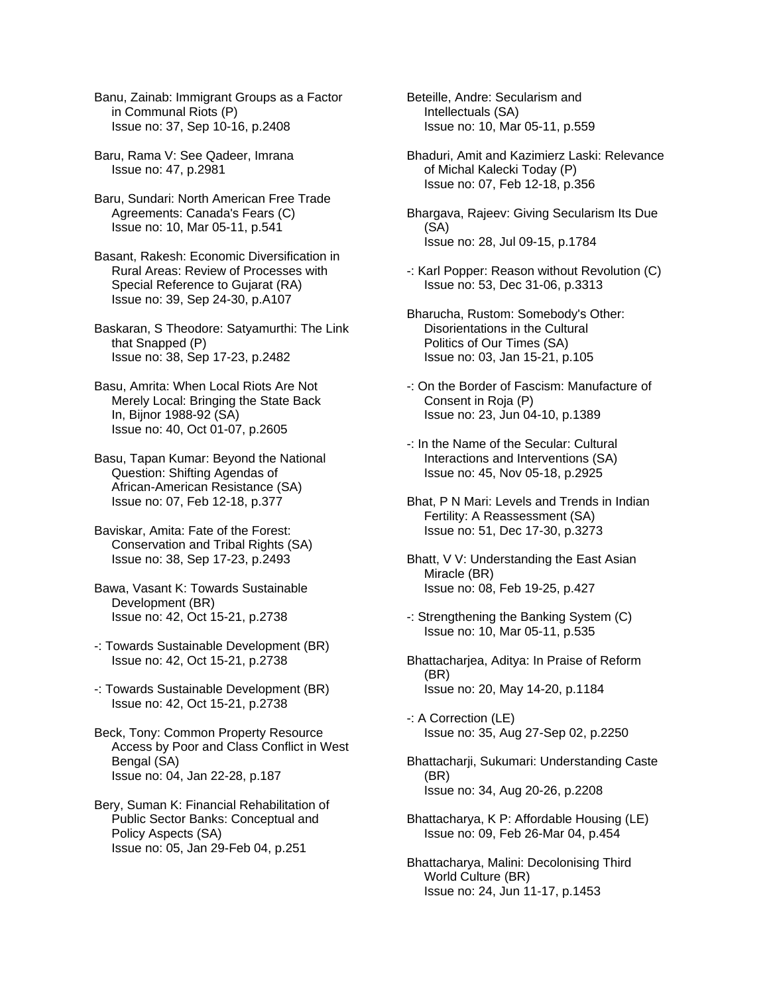Banu, Zainab: Immigrant Groups as a Factor in Communal Riots (P) Issue no: 37, Sep 10-16, p.2408

Baru, Rama V: See Qadeer, Imrana Issue no: 47, p.2981

Baru, Sundari: North American Free Trade Agreements: Canada's Fears (C) Issue no: 10, Mar 05-11, p.541

Basant, Rakesh: Economic Diversification in Rural Areas: Review of Processes with Special Reference to Gujarat (RA) Issue no: 39, Sep 24-30, p.A107

Baskaran, S Theodore: Satyamurthi: The Link that Snapped (P) Issue no: 38, Sep 17-23, p.2482

Basu, Amrita: When Local Riots Are Not Merely Local: Bringing the State Back In, Bijnor 1988-92 (SA) Issue no: 40, Oct 01-07, p.2605

Basu, Tapan Kumar: Beyond the National Question: Shifting Agendas of African-American Resistance (SA) Issue no: 07, Feb 12-18, p.377

Baviskar, Amita: Fate of the Forest: Conservation and Tribal Rights (SA) Issue no: 38, Sep 17-23, p.2493

Bawa, Vasant K: Towards Sustainable Development (BR) Issue no: 42, Oct 15-21, p.2738

-: Towards Sustainable Development (BR) Issue no: 42, Oct 15-21, p.2738

-: Towards Sustainable Development (BR) Issue no: 42, Oct 15-21, p.2738

Beck, Tony: Common Property Resource Access by Poor and Class Conflict in West Bengal (SA) Issue no: 04, Jan 22-28, p.187

Bery, Suman K: Financial Rehabilitation of Public Sector Banks: Conceptual and Policy Aspects (SA) Issue no: 05, Jan 29-Feb 04, p.251

Beteille, Andre: Secularism and Intellectuals (SA) Issue no: 10, Mar 05-11, p.559

Bhaduri, Amit and Kazimierz Laski: Relevance of Michal Kalecki Today (P) Issue no: 07, Feb 12-18, p.356

Bhargava, Rajeev: Giving Secularism Its Due (SA) Issue no: 28, Jul 09-15, p.1784

-: Karl Popper: Reason without Revolution (C) Issue no: 53, Dec 31-06, p.3313

Bharucha, Rustom: Somebody's Other: Disorientations in the Cultural Politics of Our Times (SA) Issue no: 03, Jan 15-21, p.105

-: On the Border of Fascism: Manufacture of Consent in Roja (P) Issue no: 23, Jun 04-10, p.1389

-: In the Name of the Secular: Cultural Interactions and Interventions (SA) Issue no: 45, Nov 05-18, p.2925

Bhat, P N Mari: Levels and Trends in Indian Fertility: A Reassessment (SA) Issue no: 51, Dec 17-30, p.3273

Bhatt, V V: Understanding the East Asian Miracle (BR) Issue no: 08, Feb 19-25, p.427

-: Strengthening the Banking System (C) Issue no: 10, Mar 05-11, p.535

Bhattacharjea, Aditya: In Praise of Reform (BR) Issue no: 20, May 14-20, p.1184

-: A Correction (LE) Issue no: 35, Aug 27-Sep 02, p.2250

Bhattacharji, Sukumari: Understanding Caste (BR) Issue no: 34, Aug 20-26, p.2208

Bhattacharya, K P: Affordable Housing (LE) Issue no: 09, Feb 26-Mar 04, p.454

Bhattacharya, Malini: Decolonising Third World Culture (BR) Issue no: 24, Jun 11-17, p.1453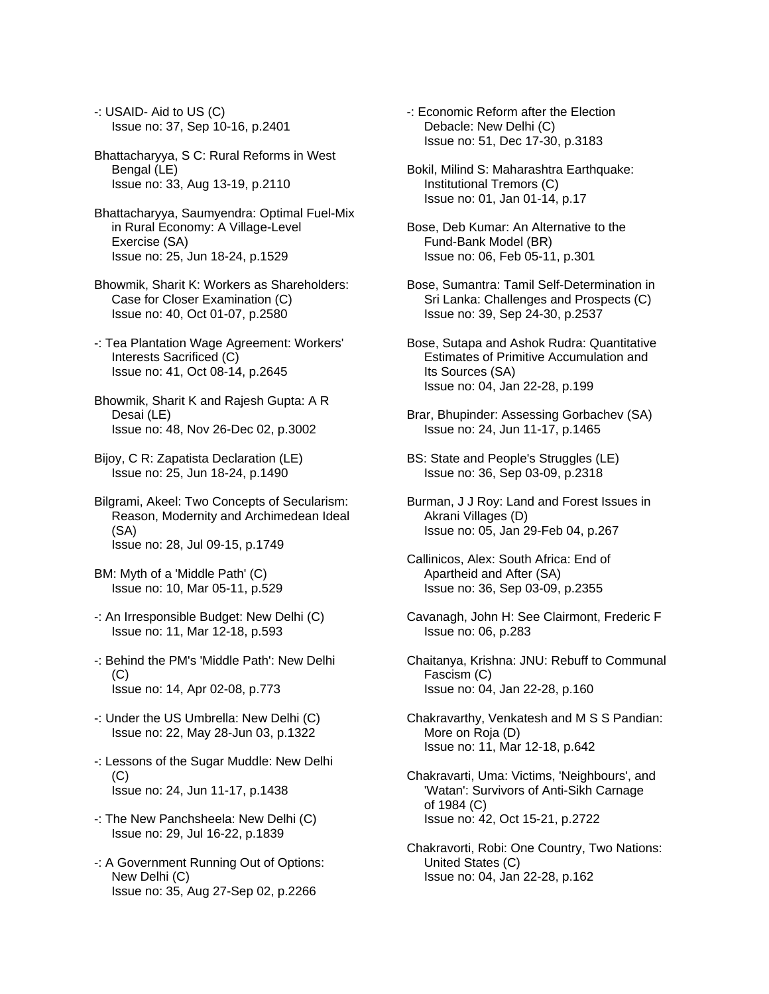- -: USAID- Aid to US (C) Issue no: 37, Sep 10-16, p.2401
- Bhattacharyya, S C: Rural Reforms in West Bengal (LE) Issue no: 33, Aug 13-19, p.2110
- Bhattacharyya, Saumyendra: Optimal Fuel-Mix in Rural Economy: A Village-Level Exercise (SA) Issue no: 25, Jun 18-24, p.1529
- Bhowmik, Sharit K: Workers as Shareholders: Case for Closer Examination (C) Issue no: 40, Oct 01-07, p.2580
- -: Tea Plantation Wage Agreement: Workers' Interests Sacrificed (C) Issue no: 41, Oct 08-14, p.2645
- Bhowmik, Sharit K and Rajesh Gupta: A R Desai (LE) Issue no: 48, Nov 26-Dec 02, p.3002
- Bijoy, C R: Zapatista Declaration (LE) Issue no: 25, Jun 18-24, p.1490
- Bilgrami, Akeel: Two Concepts of Secularism: Reason, Modernity and Archimedean Ideal (SA) Issue no: 28, Jul 09-15, p.1749
- BM: Myth of a 'Middle Path' (C) Issue no: 10, Mar 05-11, p.529
- -: An Irresponsible Budget: New Delhi (C) Issue no: 11, Mar 12-18, p.593
- -: Behind the PM's 'Middle Path': New Delhi (C) Issue no: 14, Apr 02-08, p.773
- -: Under the US Umbrella: New Delhi (C) Issue no: 22, May 28-Jun 03, p.1322
- -: Lessons of the Sugar Muddle: New Delhi (C) Issue no: 24, Jun 11-17, p.1438
- -: The New Panchsheela: New Delhi (C) Issue no: 29, Jul 16-22, p.1839
- -: A Government Running Out of Options: New Delhi (C) Issue no: 35, Aug 27-Sep 02, p.2266
- -: Economic Reform after the Election Debacle: New Delhi (C) Issue no: 51, Dec 17-30, p.3183
- Bokil, Milind S: Maharashtra Earthquake: Institutional Tremors (C) Issue no: 01, Jan 01-14, p.17
- Bose, Deb Kumar: An Alternative to the Fund-Bank Model (BR) Issue no: 06, Feb 05-11, p.301
- Bose, Sumantra: Tamil Self-Determination in Sri Lanka: Challenges and Prospects (C) Issue no: 39, Sep 24-30, p.2537
- Bose, Sutapa and Ashok Rudra: Quantitative Estimates of Primitive Accumulation and Its Sources (SA) Issue no: 04, Jan 22-28, p.199
- Brar, Bhupinder: Assessing Gorbachev (SA) Issue no: 24, Jun 11-17, p.1465
- BS: State and People's Struggles (LE) Issue no: 36, Sep 03-09, p.2318
- Burman, J J Roy: Land and Forest Issues in Akrani Villages (D) Issue no: 05, Jan 29-Feb 04, p.267
- Callinicos, Alex: South Africa: End of Apartheid and After (SA) Issue no: 36, Sep 03-09, p.2355
- Cavanagh, John H: See Clairmont, Frederic F Issue no: 06, p.283
- Chaitanya, Krishna: JNU: Rebuff to Communal Fascism (C) Issue no: 04, Jan 22-28, p.160
- Chakravarthy, Venkatesh and M S S Pandian: More on Roja (D) Issue no: 11, Mar 12-18, p.642
- Chakravarti, Uma: Victims, 'Neighbours', and 'Watan': Survivors of Anti-Sikh Carnage of 1984 (C) Issue no: 42, Oct 15-21, p.2722
- Chakravorti, Robi: One Country, Two Nations: United States (C) Issue no: 04, Jan 22-28, p.162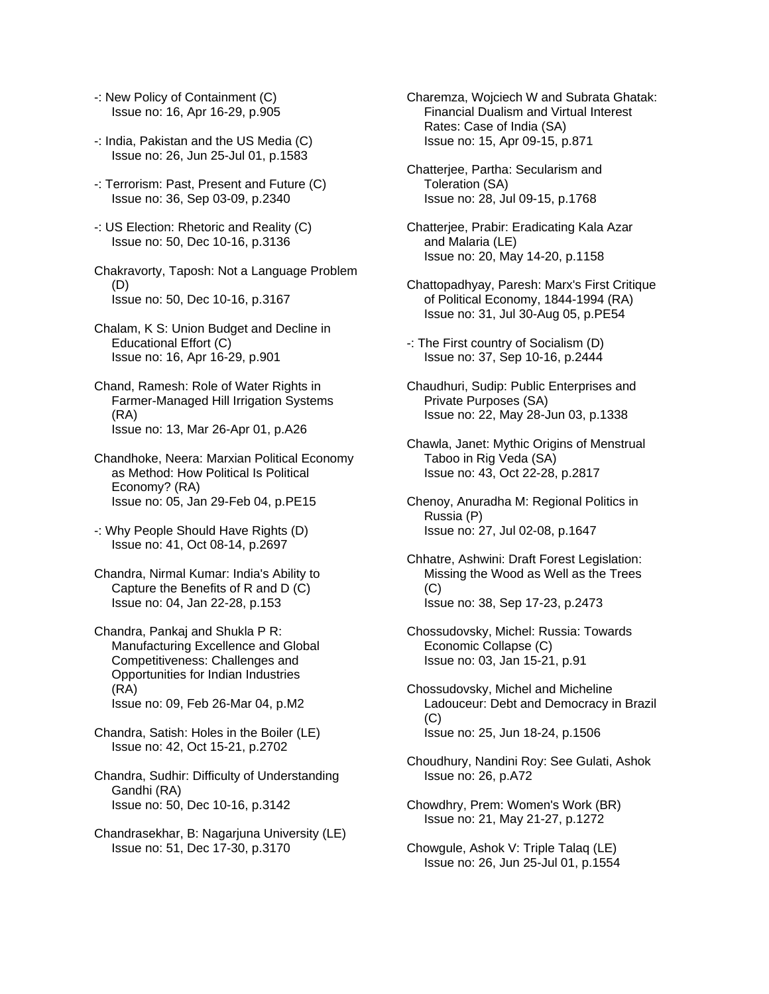- -: New Policy of Containment (C) Issue no: 16, Apr 16-29, p.905
- -: India, Pakistan and the US Media (C) Issue no: 26, Jun 25-Jul 01, p.1583
- -: Terrorism: Past, Present and Future (C) Issue no: 36, Sep 03-09, p.2340
- -: US Election: Rhetoric and Reality (C) Issue no: 50, Dec 10-16, p.3136
- Chakravorty, Taposh: Not a Language Problem (D) Issue no: 50, Dec 10-16, p.3167
- Chalam, K S: Union Budget and Decline in Educational Effort (C) Issue no: 16, Apr 16-29, p.901
- Chand, Ramesh: Role of Water Rights in Farmer-Managed Hill Irrigation Systems (RA) Issue no: 13, Mar 26-Apr 01, p.A26
- Chandhoke, Neera: Marxian Political Economy as Method: How Political Is Political Economy? (RA) Issue no: 05, Jan 29-Feb 04, p.PE15
- -: Why People Should Have Rights (D) Issue no: 41, Oct 08-14, p.2697
- Chandra, Nirmal Kumar: India's Ability to Capture the Benefits of R and D (C) Issue no: 04, Jan 22-28, p.153
- Chandra, Pankaj and Shukla P R: Manufacturing Excellence and Global Competitiveness: Challenges and Opportunities for Indian Industries (RA) Issue no: 09, Feb 26-Mar 04, p.M2
- Chandra, Satish: Holes in the Boiler (LE) Issue no: 42, Oct 15-21, p.2702
- Chandra, Sudhir: Difficulty of Understanding Gandhi (RA) Issue no: 50, Dec 10-16, p.3142
- Chandrasekhar, B: Nagarjuna University (LE) Issue no: 51, Dec 17-30, p.3170
- Charemza, Wojciech W and Subrata Ghatak: Financial Dualism and Virtual Interest Rates: Case of India (SA) Issue no: 15, Apr 09-15, p.871
- Chatterjee, Partha: Secularism and Toleration (SA) Issue no: 28, Jul 09-15, p.1768
- Chatterjee, Prabir: Eradicating Kala Azar and Malaria (LE) Issue no: 20, May 14-20, p.1158
- Chattopadhyay, Paresh: Marx's First Critique of Political Economy, 1844-1994 (RA) Issue no: 31, Jul 30-Aug 05, p.PE54
- -: The First country of Socialism (D) Issue no: 37, Sep 10-16, p.2444
- Chaudhuri, Sudip: Public Enterprises and Private Purposes (SA) Issue no: 22, May 28-Jun 03, p.1338
- Chawla, Janet: Mythic Origins of Menstrual Taboo in Rig Veda (SA) Issue no: 43, Oct 22-28, p.2817
- Chenoy, Anuradha M: Regional Politics in Russia (P) Issue no: 27, Jul 02-08, p.1647
- Chhatre, Ashwini: Draft Forest Legislation: Missing the Wood as Well as the Trees (C) Issue no: 38, Sep 17-23, p.2473
- Chossudovsky, Michel: Russia: Towards Economic Collapse (C) Issue no: 03, Jan 15-21, p.91
- Chossudovsky, Michel and Micheline Ladouceur: Debt and Democracy in Brazil (C) Issue no: 25, Jun 18-24, p.1506
- Choudhury, Nandini Roy: See Gulati, Ashok Issue no: 26, p.A72
- Chowdhry, Prem: Women's Work (BR) Issue no: 21, May 21-27, p.1272
- Chowgule, Ashok V: Triple Talaq (LE) Issue no: 26, Jun 25-Jul 01, p.1554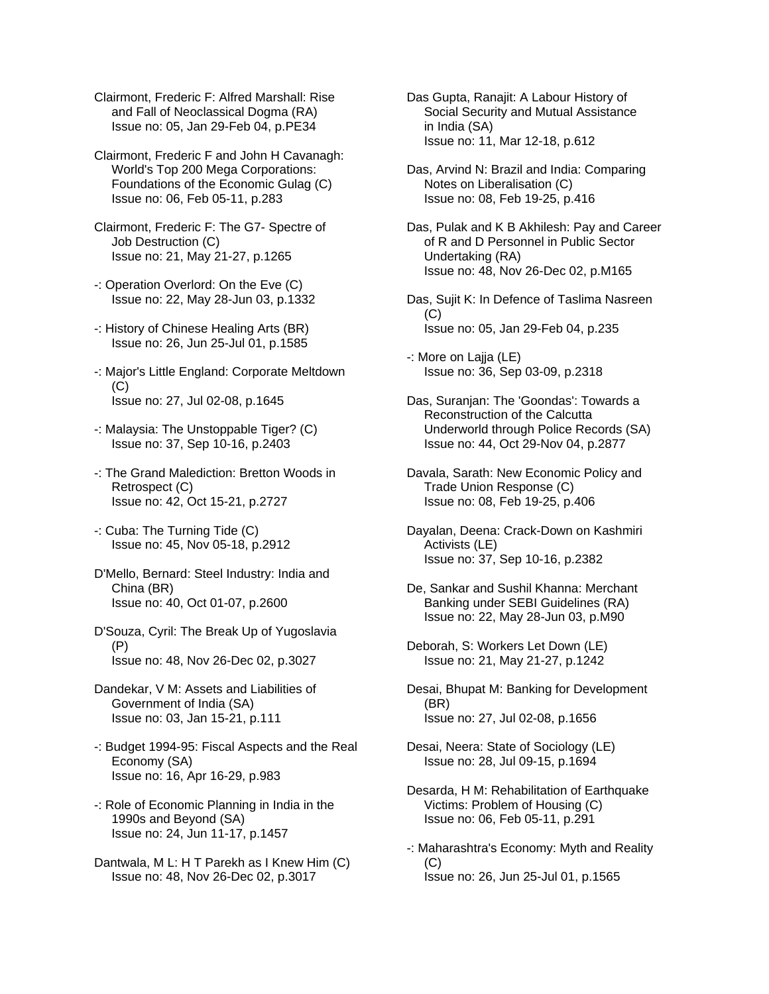- Clairmont, Frederic F: Alfred Marshall: Rise and Fall of Neoclassical Dogma (RA) Issue no: 05, Jan 29-Feb 04, p.PE34
- Clairmont, Frederic F and John H Cavanagh: World's Top 200 Mega Corporations: Foundations of the Economic Gulag (C) Issue no: 06, Feb 05-11, p.283
- Clairmont, Frederic F: The G7- Spectre of Job Destruction (C) Issue no: 21, May 21-27, p.1265
- -: Operation Overlord: On the Eve (C) Issue no: 22, May 28-Jun 03, p.1332
- -: History of Chinese Healing Arts (BR) Issue no: 26, Jun 25-Jul 01, p.1585
- -: Major's Little England: Corporate Meltdown  $(C)$ Issue no: 27, Jul 02-08, p.1645
- -: Malaysia: The Unstoppable Tiger? (C) Issue no: 37, Sep 10-16, p.2403
- -: The Grand Malediction: Bretton Woods in Retrospect (C) Issue no: 42, Oct 15-21, p.2727
- -: Cuba: The Turning Tide (C) Issue no: 45, Nov 05-18, p.2912
- D'Mello, Bernard: Steel Industry: India and China (BR) Issue no: 40, Oct 01-07, p.2600
- D'Souza, Cyril: The Break Up of Yugoslavia (P) Issue no: 48, Nov 26-Dec 02, p.3027
- Dandekar, V M: Assets and Liabilities of Government of India (SA) Issue no: 03, Jan 15-21, p.111
- -: Budget 1994-95: Fiscal Aspects and the Real Economy (SA) Issue no: 16, Apr 16-29, p.983
- -: Role of Economic Planning in India in the 1990s and Beyond (SA) Issue no: 24, Jun 11-17, p.1457
- Dantwala, M L: H T Parekh as I Knew Him (C) Issue no: 48, Nov 26-Dec 02, p.3017
- Das Gupta, Ranajit: A Labour History of Social Security and Mutual Assistance in India (SA) Issue no: 11, Mar 12-18, p.612
- Das, Arvind N: Brazil and India: Comparing Notes on Liberalisation (C) Issue no: 08, Feb 19-25, p.416
- Das, Pulak and K B Akhilesh: Pay and Career of R and D Personnel in Public Sector Undertaking (RA) Issue no: 48, Nov 26-Dec 02, p.M165
- Das, Sujit K: In Defence of Taslima Nasreen  $(C)$ Issue no: 05, Jan 29-Feb 04, p.235
- -: More on Lajja (LE) Issue no: 36, Sep 03-09, p.2318
- Das, Suranjan: The 'Goondas': Towards a Reconstruction of the Calcutta Underworld through Police Records (SA) Issue no: 44, Oct 29-Nov 04, p.2877
- Davala, Sarath: New Economic Policy and Trade Union Response (C) Issue no: 08, Feb 19-25, p.406
- Dayalan, Deena: Crack-Down on Kashmiri Activists (LE) Issue no: 37, Sep 10-16, p.2382
- De, Sankar and Sushil Khanna: Merchant Banking under SEBI Guidelines (RA) Issue no: 22, May 28-Jun 03, p.M90
- Deborah, S: Workers Let Down (LE) Issue no: 21, May 21-27, p.1242
- Desai, Bhupat M: Banking for Development (BR) Issue no: 27, Jul 02-08, p.1656
- Desai, Neera: State of Sociology (LE) Issue no: 28, Jul 09-15, p.1694
- Desarda, H M: Rehabilitation of Earthquake Victims: Problem of Housing (C) Issue no: 06, Feb 05-11, p.291
- -: Maharashtra's Economy: Myth and Reality (C) Issue no: 26, Jun 25-Jul 01, p.1565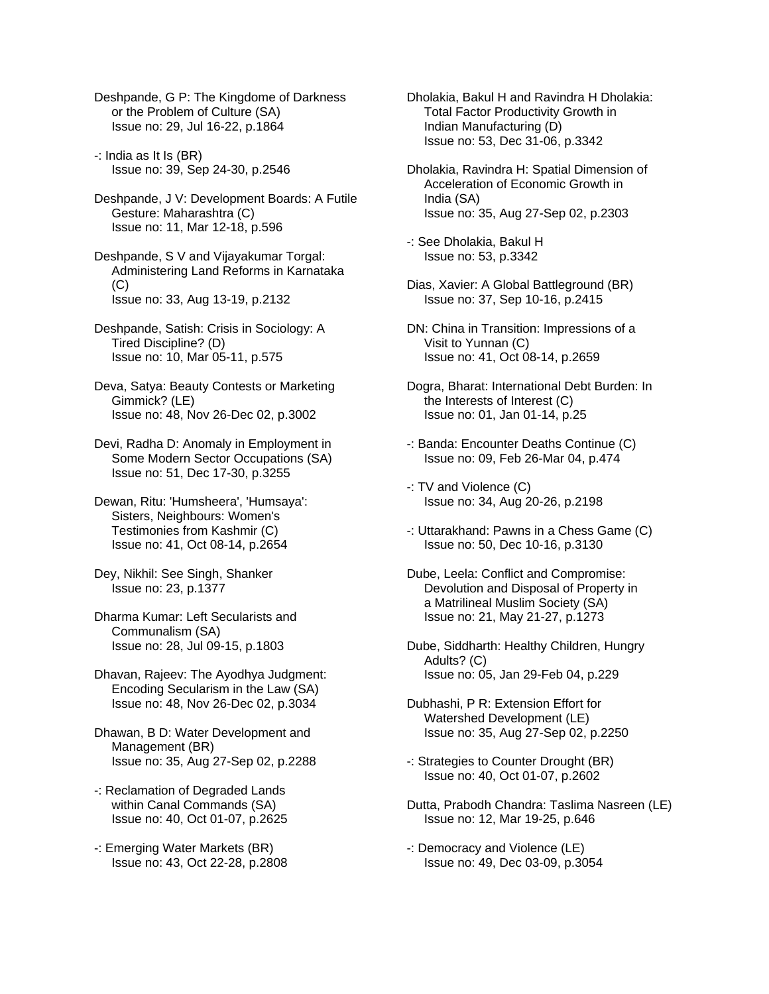Deshpande, G P: The Kingdome of Darkness or the Problem of Culture (SA) Issue no: 29, Jul 16-22, p.1864

-: India as It Is (BR) Issue no: 39, Sep 24-30, p.2546

Deshpande, J V: Development Boards: A Futile Gesture: Maharashtra (C) Issue no: 11, Mar 12-18, p.596

Deshpande, S V and Vijayakumar Torgal: Administering Land Reforms in Karnataka  $(C)$ Issue no: 33, Aug 13-19, p.2132

Deshpande, Satish: Crisis in Sociology: A Tired Discipline? (D) Issue no: 10, Mar 05-11, p.575

Deva, Satya: Beauty Contests or Marketing Gimmick? (LE) Issue no: 48, Nov 26-Dec 02, p.3002

Devi, Radha D: Anomaly in Employment in Some Modern Sector Occupations (SA) Issue no: 51, Dec 17-30, p.3255

Dewan, Ritu: 'Humsheera', 'Humsaya': Sisters, Neighbours: Women's Testimonies from Kashmir (C) Issue no: 41, Oct 08-14, p.2654

Dey, Nikhil: See Singh, Shanker Issue no: 23, p.1377

Dharma Kumar: Left Secularists and Communalism (SA) Issue no: 28, Jul 09-15, p.1803

Dhavan, Rajeev: The Ayodhya Judgment: Encoding Secularism in the Law (SA) Issue no: 48, Nov 26-Dec 02, p.3034

Dhawan, B D: Water Development and Management (BR) Issue no: 35, Aug 27-Sep 02, p.2288

-: Reclamation of Degraded Lands within Canal Commands (SA) Issue no: 40, Oct 01-07, p.2625

-: Emerging Water Markets (BR) Issue no: 43, Oct 22-28, p.2808 Dholakia, Bakul H and Ravindra H Dholakia: Total Factor Productivity Growth in Indian Manufacturing (D) Issue no: 53, Dec 31-06, p.3342

Dholakia, Ravindra H: Spatial Dimension of Acceleration of Economic Growth in India (SA) Issue no: 35, Aug 27-Sep 02, p.2303

-: See Dholakia, Bakul H Issue no: 53, p.3342

Dias, Xavier: A Global Battleground (BR) Issue no: 37, Sep 10-16, p.2415

DN: China in Transition: Impressions of a Visit to Yunnan (C) Issue no: 41, Oct 08-14, p.2659

Dogra, Bharat: International Debt Burden: In the Interests of Interest (C) Issue no: 01, Jan 01-14, p.25

-: Banda: Encounter Deaths Continue (C) Issue no: 09, Feb 26-Mar 04, p.474

-: TV and Violence (C) Issue no: 34, Aug 20-26, p.2198

-: Uttarakhand: Pawns in a Chess Game (C) Issue no: 50, Dec 10-16, p.3130

Dube, Leela: Conflict and Compromise: Devolution and Disposal of Property in a Matrilineal Muslim Society (SA) Issue no: 21, May 21-27, p.1273

Dube, Siddharth: Healthy Children, Hungry Adults? (C) Issue no: 05, Jan 29-Feb 04, p.229

Dubhashi, P R: Extension Effort for Watershed Development (LE) Issue no: 35, Aug 27-Sep 02, p.2250

-: Strategies to Counter Drought (BR) Issue no: 40, Oct 01-07, p.2602

Dutta, Prabodh Chandra: Taslima Nasreen (LE) Issue no: 12, Mar 19-25, p.646

-: Democracy and Violence (LE) Issue no: 49, Dec 03-09, p.3054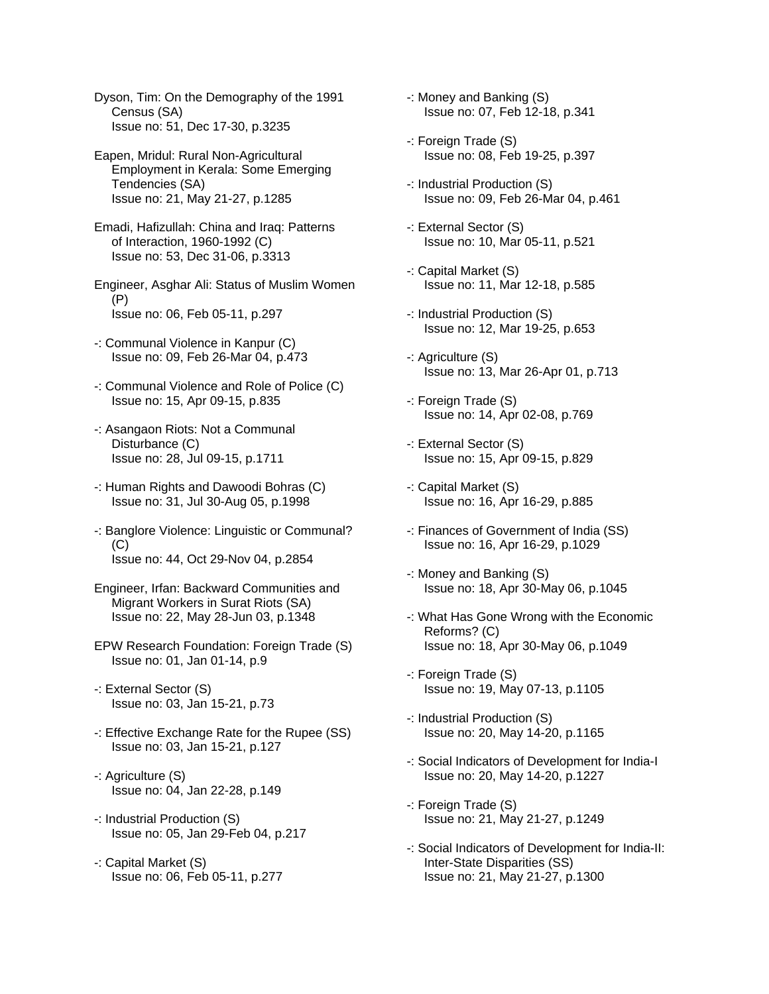Dyson, Tim: On the Demography of the 1991 Census (SA) Issue no: 51, Dec 17-30, p.3235

Eapen, Mridul: Rural Non-Agricultural Employment in Kerala: Some Emerging Tendencies (SA) Issue no: 21, May 21-27, p.1285

Emadi, Hafizullah: China and Iraq: Patterns of Interaction, 1960-1992 (C) Issue no: 53, Dec 31-06, p.3313

Engineer, Asghar Ali: Status of Muslim Women (P) Issue no: 06, Feb 05-11, p.297

- -: Communal Violence in Kanpur (C) Issue no: 09, Feb 26-Mar 04, p.473
- -: Communal Violence and Role of Police (C) Issue no: 15, Apr 09-15, p.835
- -: Asangaon Riots: Not a Communal Disturbance (C) Issue no: 28, Jul 09-15, p.1711
- -: Human Rights and Dawoodi Bohras (C) Issue no: 31, Jul 30-Aug 05, p.1998
- -: Banglore Violence: Linguistic or Communal? (C) Issue no: 44, Oct 29-Nov 04, p.2854

Engineer, Irfan: Backward Communities and Migrant Workers in Surat Riots (SA) Issue no: 22, May 28-Jun 03, p.1348

- EPW Research Foundation: Foreign Trade (S) Issue no: 01, Jan 01-14, p.9
- -: External Sector (S) Issue no: 03, Jan 15-21, p.73
- -: Effective Exchange Rate for the Rupee (SS) Issue no: 03, Jan 15-21, p.127
- -: Agriculture (S) Issue no: 04, Jan 22-28, p.149
- -: Industrial Production (S) Issue no: 05, Jan 29-Feb 04, p.217
- -: Capital Market (S) Issue no: 06, Feb 05-11, p.277

-: Money and Banking (S) Issue no: 07, Feb 12-18, p.341

- -: Foreign Trade (S) Issue no: 08, Feb 19-25, p.397
- -: Industrial Production (S) Issue no: 09, Feb 26-Mar 04, p.461
- -: External Sector (S) Issue no: 10, Mar 05-11, p.521
- -: Capital Market (S) Issue no: 11, Mar 12-18, p.585
- -: Industrial Production (S) Issue no: 12, Mar 19-25, p.653
- -: Agriculture (S) Issue no: 13, Mar 26-Apr 01, p.713
- -: Foreign Trade (S) Issue no: 14, Apr 02-08, p.769
- -: External Sector (S) Issue no: 15, Apr 09-15, p.829
- -: Capital Market (S) Issue no: 16, Apr 16-29, p.885
- -: Finances of Government of India (SS) Issue no: 16, Apr 16-29, p.1029
- -: Money and Banking (S) Issue no: 18, Apr 30-May 06, p.1045
- -: What Has Gone Wrong with the Economic Reforms? (C) Issue no: 18, Apr 30-May 06, p.1049
- -: Foreign Trade (S) Issue no: 19, May 07-13, p.1105
- -: Industrial Production (S) Issue no: 20, May 14-20, p.1165
- -: Social Indicators of Development for India-I Issue no: 20, May 14-20, p.1227
- -: Foreign Trade (S) Issue no: 21, May 21-27, p.1249
- -: Social Indicators of Development for India-II: Inter-State Disparities (SS) Issue no: 21, May 21-27, p.1300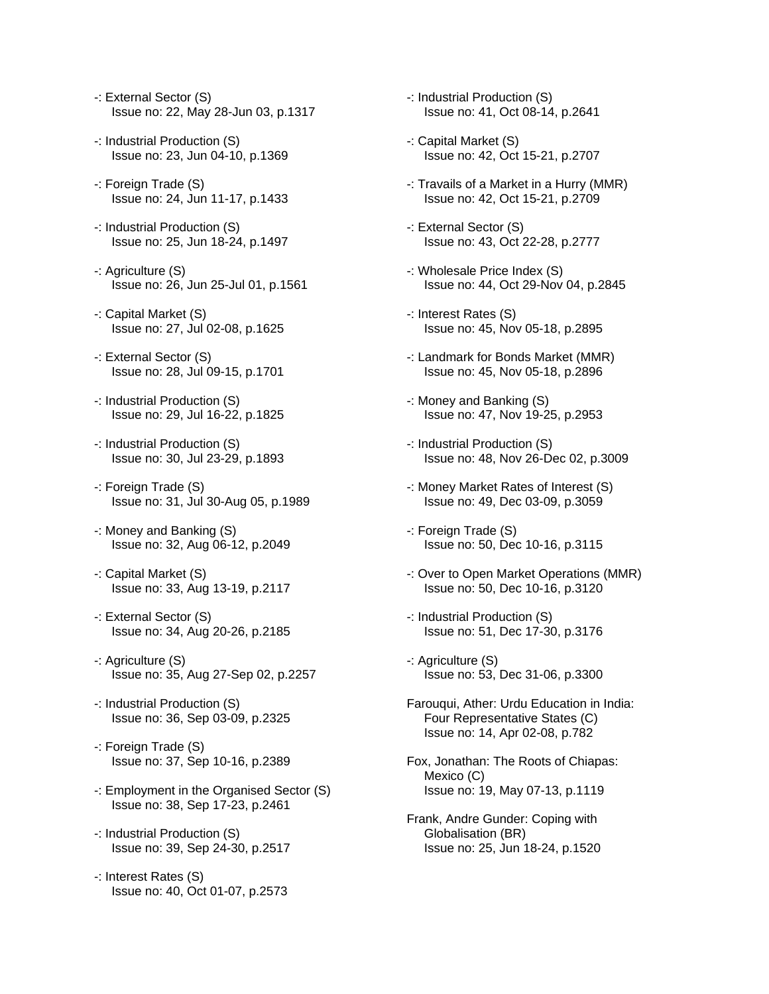- -: External Sector (S) Issue no: 22, May 28-Jun 03, p.1317
- -: Industrial Production (S) Issue no: 23, Jun 04-10, p.1369
- -: Foreign Trade (S) Issue no: 24, Jun 11-17, p.1433
- -: Industrial Production (S) Issue no: 25, Jun 18-24, p.1497
- -: Agriculture (S) Issue no: 26, Jun 25-Jul 01, p.1561
- -: Capital Market (S) Issue no: 27, Jul 02-08, p.1625
- -: External Sector (S) Issue no: 28, Jul 09-15, p.1701
- -: Industrial Production (S) Issue no: 29, Jul 16-22, p.1825
- -: Industrial Production (S) Issue no: 30, Jul 23-29, p.1893
- -: Foreign Trade (S) Issue no: 31, Jul 30-Aug 05, p.1989
- -: Money and Banking (S) Issue no: 32, Aug 06-12, p.2049
- -: Capital Market (S) Issue no: 33, Aug 13-19, p.2117
- -: External Sector (S) Issue no: 34, Aug 20-26, p.2185
- -: Agriculture (S) Issue no: 35, Aug 27-Sep 02, p.2257
- -: Industrial Production (S) Issue no: 36, Sep 03-09, p.2325
- -: Foreign Trade (S) Issue no: 37, Sep 10-16, p.2389
- -: Employment in the Organised Sector (S) Issue no: 38, Sep 17-23, p.2461
- -: Industrial Production (S) Issue no: 39, Sep 24-30, p.2517
- -: Interest Rates (S) Issue no: 40, Oct 01-07, p.2573
- -: Industrial Production (S) Issue no: 41, Oct 08-14, p.2641
- -: Capital Market (S) Issue no: 42, Oct 15-21, p.2707
- -: Travails of a Market in a Hurry (MMR) Issue no: 42, Oct 15-21, p.2709
- -: External Sector (S) Issue no: 43, Oct 22-28, p.2777
- -: Wholesale Price Index (S) Issue no: 44, Oct 29-Nov 04, p.2845
- -: Interest Rates (S) Issue no: 45, Nov 05-18, p.2895
- -: Landmark for Bonds Market (MMR) Issue no: 45, Nov 05-18, p.2896
- -: Money and Banking (S) Issue no: 47, Nov 19-25, p.2953
- -: Industrial Production (S) Issue no: 48, Nov 26-Dec 02, p.3009
- -: Money Market Rates of Interest (S) Issue no: 49, Dec 03-09, p.3059
- -: Foreign Trade (S) Issue no: 50, Dec 10-16, p.3115
- -: Over to Open Market Operations (MMR) Issue no: 50, Dec 10-16, p.3120
- -: Industrial Production (S) Issue no: 51, Dec 17-30, p.3176
- -: Agriculture (S) Issue no: 53, Dec 31-06, p.3300
- Farouqui, Ather: Urdu Education in India: Four Representative States (C) Issue no: 14, Apr 02-08, p.782
- Fox, Jonathan: The Roots of Chiapas: Mexico (C) Issue no: 19, May 07-13, p.1119
- Frank, Andre Gunder: Coping with Globalisation (BR) Issue no: 25, Jun 18-24, p.1520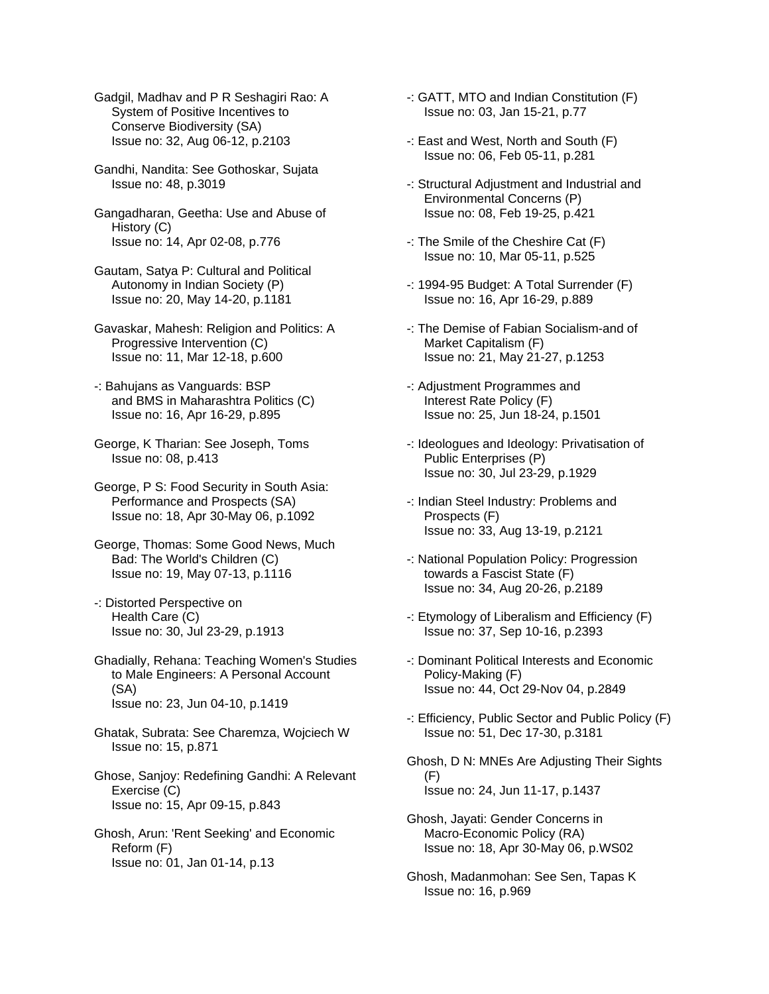Gadgil, Madhav and P R Seshagiri Rao: A System of Positive Incentives to Conserve Biodiversity (SA) Issue no: 32, Aug 06-12, p.2103

- Gandhi, Nandita: See Gothoskar, Sujata Issue no: 48, p.3019
- Gangadharan, Geetha: Use and Abuse of History (C) Issue no: 14, Apr 02-08, p.776
- Gautam, Satya P: Cultural and Political Autonomy in Indian Society (P) Issue no: 20, May 14-20, p.1181
- Gavaskar, Mahesh: Religion and Politics: A Progressive Intervention (C) Issue no: 11, Mar 12-18, p.600
- -: Bahujans as Vanguards: BSP and BMS in Maharashtra Politics (C) Issue no: 16, Apr 16-29, p.895
- George, K Tharian: See Joseph, Toms Issue no: 08, p.413
- George, P S: Food Security in South Asia: Performance and Prospects (SA) Issue no: 18, Apr 30-May 06, p.1092
- George, Thomas: Some Good News, Much Bad: The World's Children (C) Issue no: 19, May 07-13, p.1116
- -: Distorted Perspective on Health Care (C) Issue no: 30, Jul 23-29, p.1913
- Ghadially, Rehana: Teaching Women's Studies to Male Engineers: A Personal Account (SA) Issue no: 23, Jun 04-10, p.1419
- Ghatak, Subrata: See Charemza, Wojciech W Issue no: 15, p.871
- Ghose, Sanjoy: Redefining Gandhi: A Relevant Exercise (C) Issue no: 15, Apr 09-15, p.843
- Ghosh, Arun: 'Rent Seeking' and Economic Reform (F) Issue no: 01, Jan 01-14, p.13
- -: GATT, MTO and Indian Constitution (F) Issue no: 03, Jan 15-21, p.77
- -: East and West, North and South (F) Issue no: 06, Feb 05-11, p.281
- -: Structural Adjustment and Industrial and Environmental Concerns (P) Issue no: 08, Feb 19-25, p.421
- -: The Smile of the Cheshire Cat (F) Issue no: 10, Mar 05-11, p.525
- -: 1994-95 Budget: A Total Surrender (F) Issue no: 16, Apr 16-29, p.889
- -: The Demise of Fabian Socialism-and of Market Capitalism (F) Issue no: 21, May 21-27, p.1253
- -: Adjustment Programmes and Interest Rate Policy (F) Issue no: 25, Jun 18-24, p.1501
- -: Ideologues and Ideology: Privatisation of Public Enterprises (P) Issue no: 30, Jul 23-29, p.1929
- -: Indian Steel Industry: Problems and Prospects (F) Issue no: 33, Aug 13-19, p.2121
- -: National Population Policy: Progression towards a Fascist State (F) Issue no: 34, Aug 20-26, p.2189
- -: Etymology of Liberalism and Efficiency (F) Issue no: 37, Sep 10-16, p.2393
- -: Dominant Political Interests and Economic Policy-Making (F) Issue no: 44, Oct 29-Nov 04, p.2849
- -: Efficiency, Public Sector and Public Policy (F) Issue no: 51, Dec 17-30, p.3181
- Ghosh, D N: MNEs Are Adjusting Their Sights (F) Issue no: 24, Jun 11-17, p.1437
- Ghosh, Jayati: Gender Concerns in Macro-Economic Policy (RA) Issue no: 18, Apr 30-May 06, p.WS02
- Ghosh, Madanmohan: See Sen, Tapas K Issue no: 16, p.969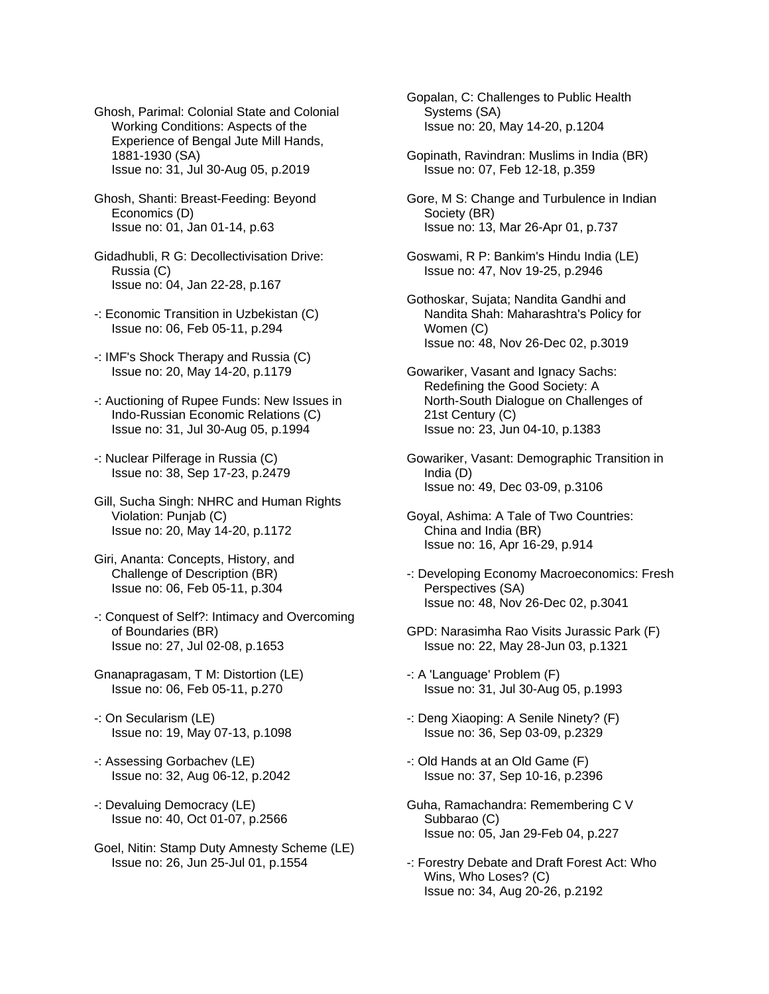- Ghosh, Parimal: Colonial State and Colonial Working Conditions: Aspects of the Experience of Bengal Jute Mill Hands, 1881-1930 (SA) Issue no: 31, Jul 30-Aug 05, p.2019
- Ghosh, Shanti: Breast-Feeding: Beyond Economics (D) Issue no: 01, Jan 01-14, p.63
- Gidadhubli, R G: Decollectivisation Drive: Russia (C) Issue no: 04, Jan 22-28, p.167
- -: Economic Transition in Uzbekistan (C) Issue no: 06, Feb 05-11, p.294
- -: IMF's Shock Therapy and Russia (C) Issue no: 20, May 14-20, p.1179
- -: Auctioning of Rupee Funds: New Issues in Indo-Russian Economic Relations (C) Issue no: 31, Jul 30-Aug 05, p.1994
- -: Nuclear Pilferage in Russia (C) Issue no: 38, Sep 17-23, p.2479
- Gill, Sucha Singh: NHRC and Human Rights Violation: Punjab (C) Issue no: 20, May 14-20, p.1172
- Giri, Ananta: Concepts, History, and Challenge of Description (BR) Issue no: 06, Feb 05-11, p.304
- -: Conquest of Self?: Intimacy and Overcoming of Boundaries (BR) Issue no: 27, Jul 02-08, p.1653
- Gnanapragasam, T M: Distortion (LE) Issue no: 06, Feb 05-11, p.270
- -: On Secularism (LE) Issue no: 19, May 07-13, p.1098
- -: Assessing Gorbachev (LE) Issue no: 32, Aug 06-12, p.2042
- -: Devaluing Democracy (LE) Issue no: 40, Oct 01-07, p.2566
- Goel, Nitin: Stamp Duty Amnesty Scheme (LE) Issue no: 26, Jun 25-Jul 01, p.1554
- Gopalan, C: Challenges to Public Health Systems (SA) Issue no: 20, May 14-20, p.1204
- Gopinath, Ravindran: Muslims in India (BR) Issue no: 07, Feb 12-18, p.359
- Gore, M S: Change and Turbulence in Indian Society (BR) Issue no: 13, Mar 26-Apr 01, p.737
- Goswami, R P: Bankim's Hindu India (LE) Issue no: 47, Nov 19-25, p.2946
- Gothoskar, Sujata; Nandita Gandhi and Nandita Shah: Maharashtra's Policy for Women (C) Issue no: 48, Nov 26-Dec 02, p.3019
- Gowariker, Vasant and Ignacy Sachs: Redefining the Good Society: A North-South Dialogue on Challenges of 21st Century (C) Issue no: 23, Jun 04-10, p.1383
- Gowariker, Vasant: Demographic Transition in India (D) Issue no: 49, Dec 03-09, p.3106
- Goyal, Ashima: A Tale of Two Countries: China and India (BR) Issue no: 16, Apr 16-29, p.914
- -: Developing Economy Macroeconomics: Fresh Perspectives (SA) Issue no: 48, Nov 26-Dec 02, p.3041
- GPD: Narasimha Rao Visits Jurassic Park (F) Issue no: 22, May 28-Jun 03, p.1321
- -: A 'Language' Problem (F) Issue no: 31, Jul 30-Aug 05, p.1993
- -: Deng Xiaoping: A Senile Ninety? (F) Issue no: 36, Sep 03-09, p.2329
- -: Old Hands at an Old Game (F) Issue no: 37, Sep 10-16, p.2396
- Guha, Ramachandra: Remembering C V Subbarao (C) Issue no: 05, Jan 29-Feb 04, p.227
- -: Forestry Debate and Draft Forest Act: Who Wins, Who Loses? (C) Issue no: 34, Aug 20-26, p.2192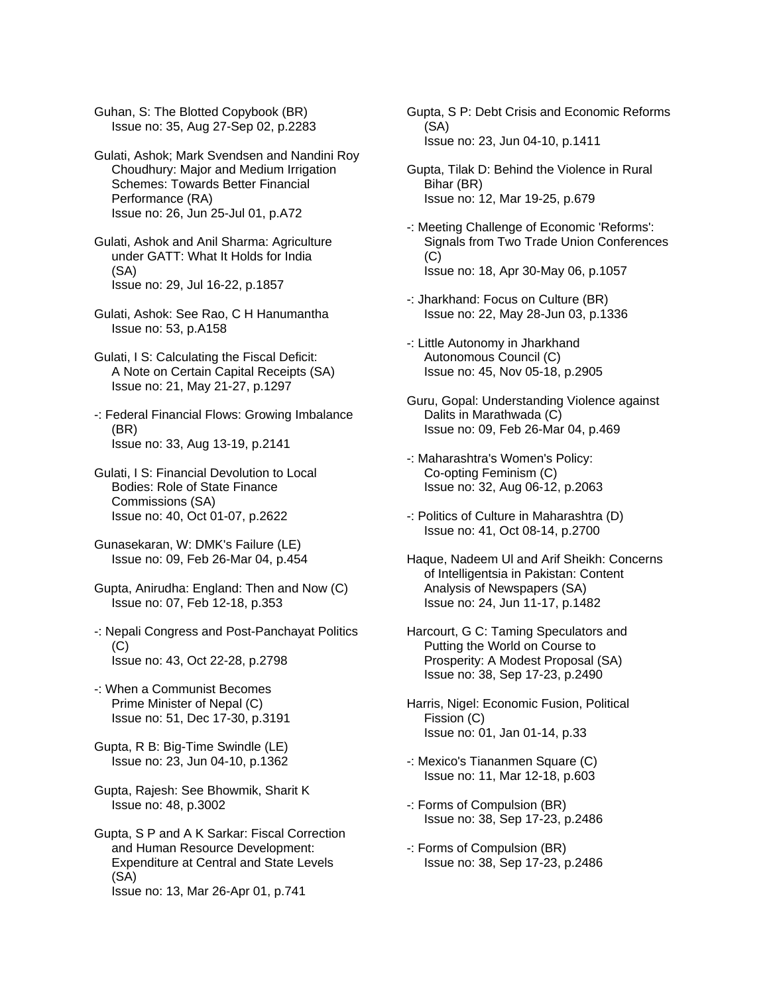Guhan, S: The Blotted Copybook (BR) Issue no: 35, Aug 27-Sep 02, p.2283

Gulati, Ashok; Mark Svendsen and Nandini Roy Choudhury: Major and Medium Irrigation Schemes: Towards Better Financial Performance (RA) Issue no: 26, Jun 25-Jul 01, p.A72

Gulati, Ashok and Anil Sharma: Agriculture under GATT: What It Holds for India (SA) Issue no: 29, Jul 16-22, p.1857

Gulati, Ashok: See Rao, C H Hanumantha Issue no: 53, p.A158

Gulati, I S: Calculating the Fiscal Deficit: A Note on Certain Capital Receipts (SA) Issue no: 21, May 21-27, p.1297

-: Federal Financial Flows: Growing Imbalance (BR) Issue no: 33, Aug 13-19, p.2141

Gulati, I S: Financial Devolution to Local Bodies: Role of State Finance Commissions (SA) Issue no: 40, Oct 01-07, p.2622

Gunasekaran, W: DMK's Failure (LE) Issue no: 09, Feb 26-Mar 04, p.454

Gupta, Anirudha: England: Then and Now (C) Issue no: 07, Feb 12-18, p.353

-: Nepali Congress and Post-Panchayat Politics  $(C)$ Issue no: 43, Oct 22-28, p.2798

- -: When a Communist Becomes Prime Minister of Nepal (C) Issue no: 51, Dec 17-30, p.3191
- Gupta, R B: Big-Time Swindle (LE) Issue no: 23, Jun 04-10, p.1362
- Gupta, Rajesh: See Bhowmik, Sharit K Issue no: 48, p.3002

Gupta, S P and A K Sarkar: Fiscal Correction and Human Resource Development: Expenditure at Central and State Levels (SA) Issue no: 13, Mar 26-Apr 01, p.741

Gupta, S P: Debt Crisis and Economic Reforms (SA) Issue no: 23, Jun 04-10, p.1411

- Gupta, Tilak D: Behind the Violence in Rural Bihar (BR) Issue no: 12, Mar 19-25, p.679
- -: Meeting Challenge of Economic 'Reforms': Signals from Two Trade Union Conferences (C) Issue no: 18, Apr 30-May 06, p.1057
- -: Jharkhand: Focus on Culture (BR) Issue no: 22, May 28-Jun 03, p.1336
- -: Little Autonomy in Jharkhand Autonomous Council (C) Issue no: 45, Nov 05-18, p.2905
- Guru, Gopal: Understanding Violence against Dalits in Marathwada (C) Issue no: 09, Feb 26-Mar 04, p.469
- -: Maharashtra's Women's Policy: Co-opting Feminism (C) Issue no: 32, Aug 06-12, p.2063
- -: Politics of Culture in Maharashtra (D) Issue no: 41, Oct 08-14, p.2700
- Haque, Nadeem Ul and Arif Sheikh: Concerns of Intelligentsia in Pakistan: Content Analysis of Newspapers (SA) Issue no: 24, Jun 11-17, p.1482
- Harcourt, G C: Taming Speculators and Putting the World on Course to Prosperity: A Modest Proposal (SA) Issue no: 38, Sep 17-23, p.2490
- Harris, Nigel: Economic Fusion, Political Fission (C) Issue no: 01, Jan 01-14, p.33
- -: Mexico's Tiananmen Square (C) Issue no: 11, Mar 12-18, p.603
- -: Forms of Compulsion (BR) Issue no: 38, Sep 17-23, p.2486
- -: Forms of Compulsion (BR) Issue no: 38, Sep 17-23, p.2486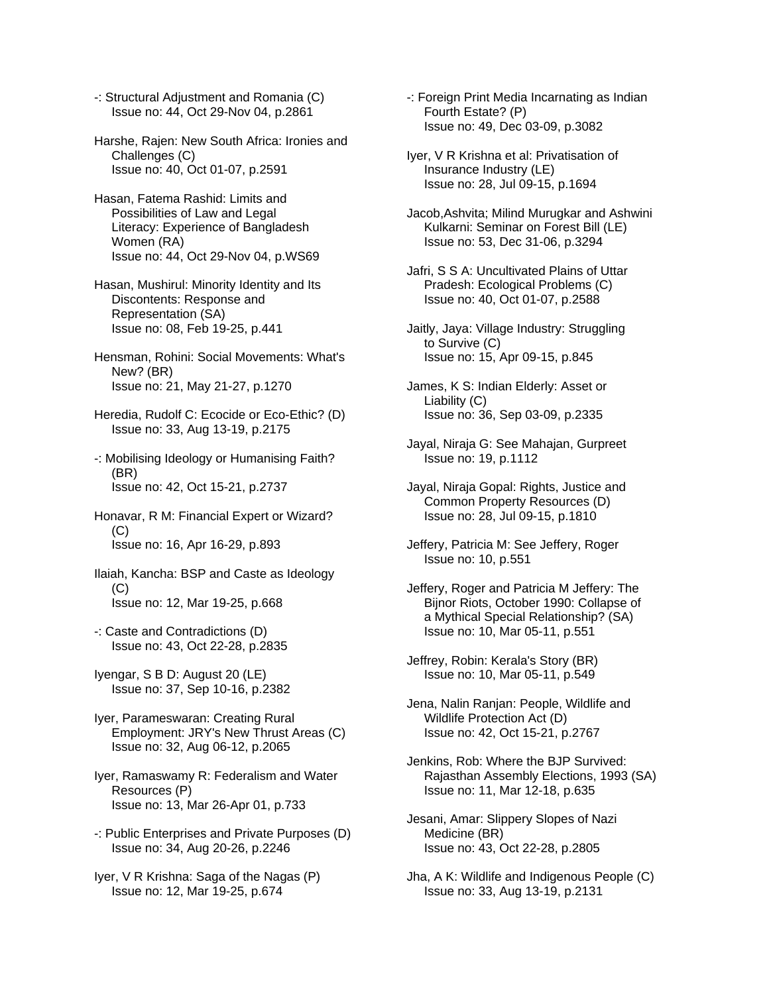- -: Structural Adjustment and Romania (C) Issue no: 44, Oct 29-Nov 04, p.2861
- Harshe, Rajen: New South Africa: Ironies and Challenges (C) Issue no: 40, Oct 01-07, p.2591
- Hasan, Fatema Rashid: Limits and Possibilities of Law and Legal Literacy: Experience of Bangladesh Women (RA) Issue no: 44, Oct 29-Nov 04, p.WS69
- Hasan, Mushirul: Minority Identity and Its Discontents: Response and Representation (SA) Issue no: 08, Feb 19-25, p.441
- Hensman, Rohini: Social Movements: What's New? (BR) Issue no: 21, May 21-27, p.1270
- Heredia, Rudolf C: Ecocide or Eco-Ethic? (D) Issue no: 33, Aug 13-19, p.2175
- -: Mobilising Ideology or Humanising Faith? (BR) Issue no: 42, Oct 15-21, p.2737
- Honavar, R M: Financial Expert or Wizard? (C) Issue no: 16, Apr 16-29, p.893
- Ilaiah, Kancha: BSP and Caste as Ideology  $(C)$ Issue no: 12, Mar 19-25, p.668
- -: Caste and Contradictions (D) Issue no: 43, Oct 22-28, p.2835
- Iyengar, S B D: August 20 (LE) Issue no: 37, Sep 10-16, p.2382
- Iyer, Parameswaran: Creating Rural Employment: JRY's New Thrust Areas (C) Issue no: 32, Aug 06-12, p.2065
- Iyer, Ramaswamy R: Federalism and Water Resources (P) Issue no: 13, Mar 26-Apr 01, p.733
- -: Public Enterprises and Private Purposes (D) Issue no: 34, Aug 20-26, p.2246
- Iyer, V R Krishna: Saga of the Nagas (P) Issue no: 12, Mar 19-25, p.674
- -: Foreign Print Media Incarnating as Indian Fourth Estate? (P) Issue no: 49, Dec 03-09, p.3082
- Iyer, V R Krishna et al: Privatisation of Insurance Industry (LE) Issue no: 28, Jul 09-15, p.1694
- Jacob,Ashvita; Milind Murugkar and Ashwini Kulkarni: Seminar on Forest Bill (LE) Issue no: 53, Dec 31-06, p.3294
- Jafri, S S A: Uncultivated Plains of Uttar Pradesh: Ecological Problems (C) Issue no: 40, Oct 01-07, p.2588
- Jaitly, Jaya: Village Industry: Struggling to Survive (C) Issue no: 15, Apr 09-15, p.845
- James, K S: Indian Elderly: Asset or Liability (C) Issue no: 36, Sep 03-09, p.2335
- Jayal, Niraja G: See Mahajan, Gurpreet Issue no: 19, p.1112
- Jayal, Niraja Gopal: Rights, Justice and Common Property Resources (D) Issue no: 28, Jul 09-15, p.1810
- Jeffery, Patricia M: See Jeffery, Roger Issue no: 10, p.551
- Jeffery, Roger and Patricia M Jeffery: The Bijnor Riots, October 1990: Collapse of a Mythical Special Relationship? (SA) Issue no: 10, Mar 05-11, p.551
- Jeffrey, Robin: Kerala's Story (BR) Issue no: 10, Mar 05-11, p.549
- Jena, Nalin Ranjan: People, Wildlife and Wildlife Protection Act (D) Issue no: 42, Oct 15-21, p.2767
- Jenkins, Rob: Where the BJP Survived: Rajasthan Assembly Elections, 1993 (SA) Issue no: 11, Mar 12-18, p.635
- Jesani, Amar: Slippery Slopes of Nazi Medicine (BR) Issue no: 43, Oct 22-28, p.2805
- Jha, A K: Wildlife and Indigenous People (C) Issue no: 33, Aug 13-19, p.2131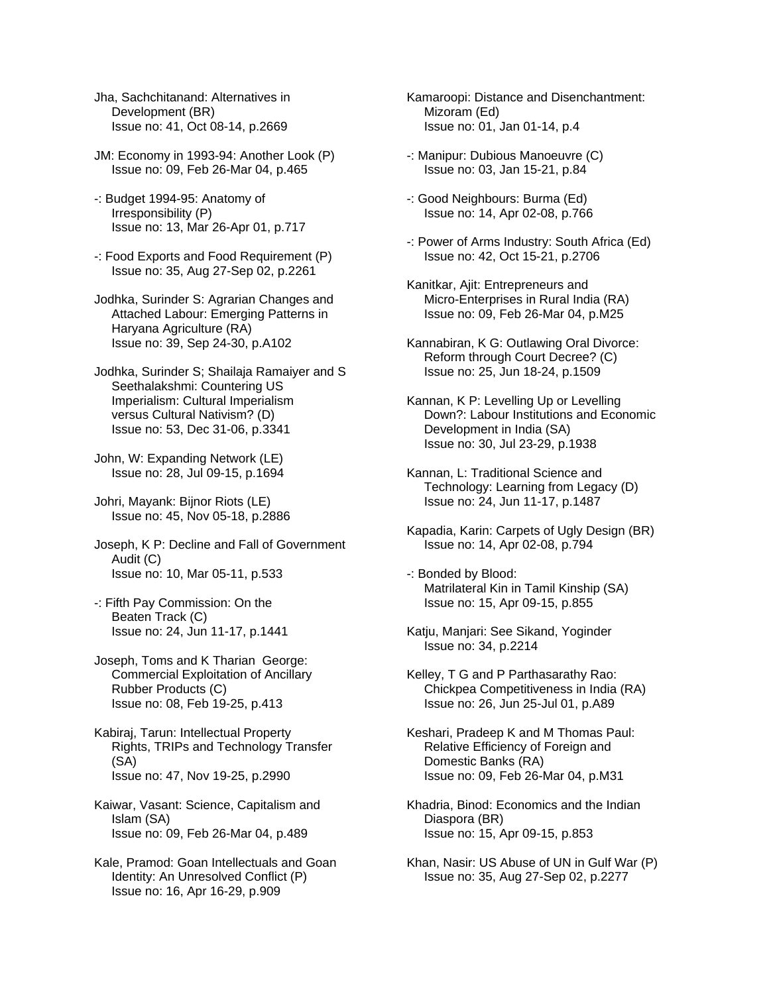- Jha, Sachchitanand: Alternatives in Development (BR) Issue no: 41, Oct 08-14, p.2669
- JM: Economy in 1993-94: Another Look (P) Issue no: 09, Feb 26-Mar 04, p.465
- -: Budget 1994-95: Anatomy of Irresponsibility (P) Issue no: 13, Mar 26-Apr 01, p.717
- -: Food Exports and Food Requirement (P) Issue no: 35, Aug 27-Sep 02, p.2261
- Jodhka, Surinder S: Agrarian Changes and Attached Labour: Emerging Patterns in Haryana Agriculture (RA) Issue no: 39, Sep 24-30, p.A102
- Jodhka, Surinder S; Shailaja Ramaiyer and S Seethalakshmi: Countering US Imperialism: Cultural Imperialism versus Cultural Nativism? (D) Issue no: 53, Dec 31-06, p.3341
- John, W: Expanding Network (LE) Issue no: 28, Jul 09-15, p.1694

Johri, Mayank: Bijnor Riots (LE) Issue no: 45, Nov 05-18, p.2886

- Joseph, K P: Decline and Fall of Government Audit (C) Issue no: 10, Mar 05-11, p.533
- -: Fifth Pay Commission: On the Beaten Track (C) Issue no: 24, Jun 11-17, p.1441
- Joseph, Toms and K Tharian George: Commercial Exploitation of Ancillary Rubber Products (C) Issue no: 08, Feb 19-25, p.413

Kabiraj, Tarun: Intellectual Property Rights, TRIPs and Technology Transfer (SA) Issue no: 47, Nov 19-25, p.2990

- Kaiwar, Vasant: Science, Capitalism and Islam (SA) Issue no: 09, Feb 26-Mar 04, p.489
- Kale, Pramod: Goan Intellectuals and Goan Identity: An Unresolved Conflict (P) Issue no: 16, Apr 16-29, p.909
- Kamaroopi: Distance and Disenchantment: Mizoram (Ed) Issue no: 01, Jan 01-14, p.4
- -: Manipur: Dubious Manoeuvre (C) Issue no: 03, Jan 15-21, p.84
- -: Good Neighbours: Burma (Ed) Issue no: 14, Apr 02-08, p.766
- -: Power of Arms Industry: South Africa (Ed) Issue no: 42, Oct 15-21, p.2706
- Kanitkar, Ajit: Entrepreneurs and Micro-Enterprises in Rural India (RA) Issue no: 09, Feb 26-Mar 04, p.M25
- Kannabiran, K G: Outlawing Oral Divorce: Reform through Court Decree? (C) Issue no: 25, Jun 18-24, p.1509
- Kannan, K P: Levelling Up or Levelling Down?: Labour Institutions and Economic Development in India (SA) Issue no: 30, Jul 23-29, p.1938
- Kannan, L: Traditional Science and Technology: Learning from Legacy (D) Issue no: 24, Jun 11-17, p.1487
- Kapadia, Karin: Carpets of Ugly Design (BR) Issue no: 14, Apr 02-08, p.794
- -: Bonded by Blood: Matrilateral Kin in Tamil Kinship (SA) Issue no: 15, Apr 09-15, p.855
- Katju, Manjari: See Sikand, Yoginder Issue no: 34, p.2214
- Kelley, T G and P Parthasarathy Rao: Chickpea Competitiveness in India (RA) Issue no: 26, Jun 25-Jul 01, p.A89
- Keshari, Pradeep K and M Thomas Paul: Relative Efficiency of Foreign and Domestic Banks (RA) Issue no: 09, Feb 26-Mar 04, p.M31
- Khadria, Binod: Economics and the Indian Diaspora (BR) Issue no: 15, Apr 09-15, p.853
- Khan, Nasir: US Abuse of UN in Gulf War (P) Issue no: 35, Aug 27-Sep 02, p.2277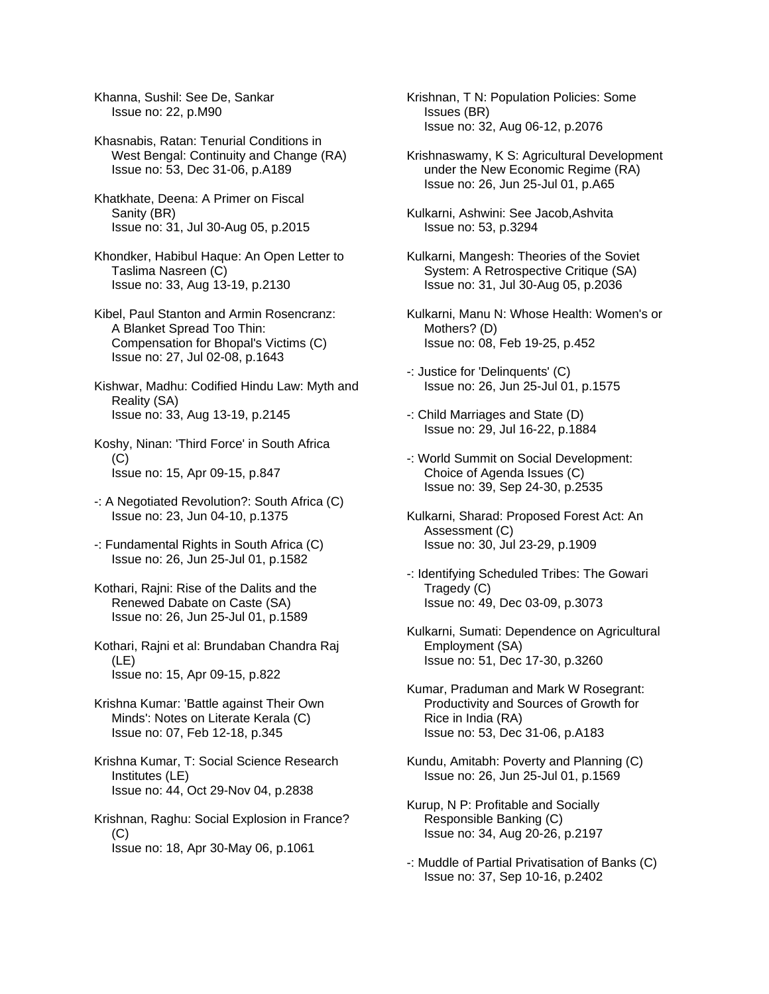Khanna, Sushil: See De, Sankar Issue no: 22, p.M90

Khasnabis, Ratan: Tenurial Conditions in West Bengal: Continuity and Change (RA) Issue no: 53, Dec 31-06, p.A189

Khatkhate, Deena: A Primer on Fiscal Sanity (BR) Issue no: 31, Jul 30-Aug 05, p.2015

Khondker, Habibul Haque: An Open Letter to Taslima Nasreen (C) Issue no: 33, Aug 13-19, p.2130

Kibel, Paul Stanton and Armin Rosencranz: A Blanket Spread Too Thin: Compensation for Bhopal's Victims (C) Issue no: 27, Jul 02-08, p.1643

Kishwar, Madhu: Codified Hindu Law: Myth and Reality (SA) Issue no: 33, Aug 13-19, p.2145

Koshy, Ninan: 'Third Force' in South Africa  $(C)$ Issue no: 15, Apr 09-15, p.847

- -: A Negotiated Revolution?: South Africa (C) Issue no: 23, Jun 04-10, p.1375
- -: Fundamental Rights in South Africa (C) Issue no: 26, Jun 25-Jul 01, p.1582

Kothari, Rajni: Rise of the Dalits and the Renewed Dabate on Caste (SA) Issue no: 26, Jun 25-Jul 01, p.1589

Kothari, Rajni et al: Brundaban Chandra Raj (LE) Issue no: 15, Apr 09-15, p.822

Krishna Kumar: 'Battle against Their Own Minds': Notes on Literate Kerala (C) Issue no: 07, Feb 12-18, p.345

Krishna Kumar, T: Social Science Research Institutes (LE) Issue no: 44, Oct 29-Nov 04, p.2838

Krishnan, Raghu: Social Explosion in France? (C) Issue no: 18, Apr 30-May 06, p.1061

Krishnan, T N: Population Policies: Some Issues (BR) Issue no: 32, Aug 06-12, p.2076

Krishnaswamy, K S: Agricultural Development under the New Economic Regime (RA) Issue no: 26, Jun 25-Jul 01, p.A65

Kulkarni, Ashwini: See Jacob,Ashvita Issue no: 53, p.3294

Kulkarni, Mangesh: Theories of the Soviet System: A Retrospective Critique (SA) Issue no: 31, Jul 30-Aug 05, p.2036

Kulkarni, Manu N: Whose Health: Women's or Mothers? (D) Issue no: 08, Feb 19-25, p.452

-: Justice for 'Delinquents' (C) Issue no: 26, Jun 25-Jul 01, p.1575

-: Child Marriages and State (D) Issue no: 29, Jul 16-22, p.1884

-: World Summit on Social Development: Choice of Agenda Issues (C) Issue no: 39, Sep 24-30, p.2535

- Kulkarni, Sharad: Proposed Forest Act: An Assessment (C) Issue no: 30, Jul 23-29, p.1909
- -: Identifying Scheduled Tribes: The Gowari Tragedy (C) Issue no: 49, Dec 03-09, p.3073

Kulkarni, Sumati: Dependence on Agricultural Employment (SA) Issue no: 51, Dec 17-30, p.3260

Kumar, Praduman and Mark W Rosegrant: Productivity and Sources of Growth for Rice in India (RA) Issue no: 53, Dec 31-06, p.A183

Kundu, Amitabh: Poverty and Planning (C) Issue no: 26, Jun 25-Jul 01, p.1569

Kurup, N P: Profitable and Socially Responsible Banking (C) Issue no: 34, Aug 20-26, p.2197

-: Muddle of Partial Privatisation of Banks (C) Issue no: 37, Sep 10-16, p.2402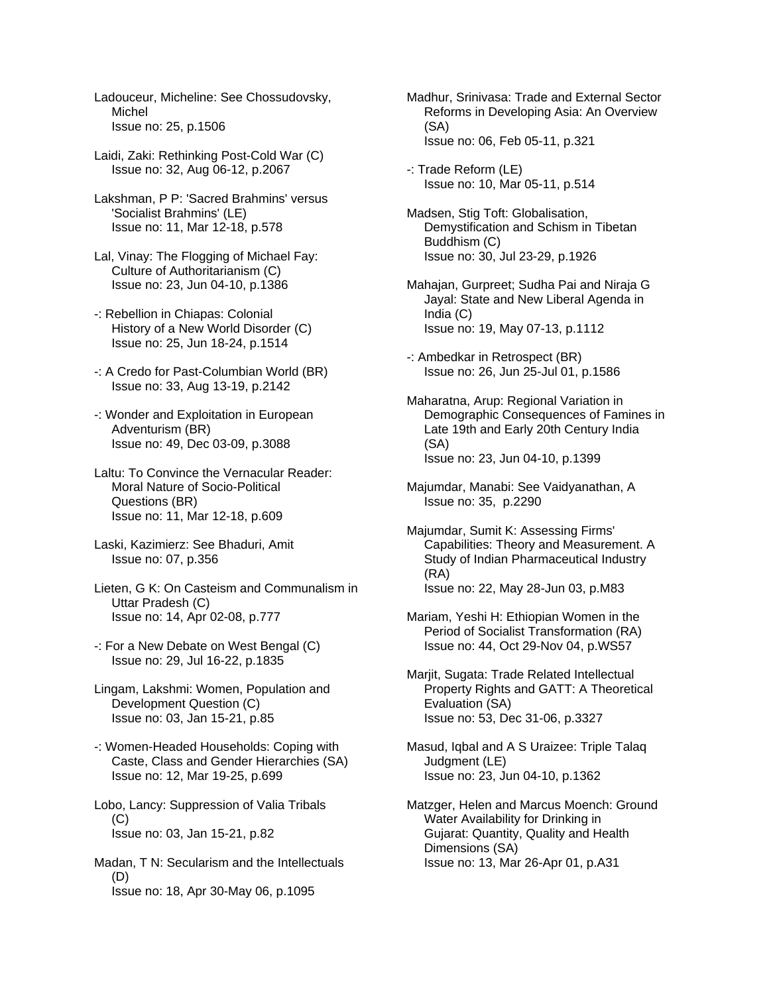Ladouceur, Micheline: See Chossudovsky, Michel Issue no: 25, p.1506

- Laidi, Zaki: Rethinking Post-Cold War (C) Issue no: 32, Aug 06-12, p.2067
- Lakshman, P P: 'Sacred Brahmins' versus 'Socialist Brahmins' (LE) Issue no: 11, Mar 12-18, p.578
- Lal, Vinay: The Flogging of Michael Fay: Culture of Authoritarianism (C) Issue no: 23, Jun 04-10, p.1386
- -: Rebellion in Chiapas: Colonial History of a New World Disorder (C) Issue no: 25, Jun 18-24, p.1514
- -: A Credo for Past-Columbian World (BR) Issue no: 33, Aug 13-19, p.2142
- -: Wonder and Exploitation in European Adventurism (BR) Issue no: 49, Dec 03-09, p.3088
- Laltu: To Convince the Vernacular Reader: Moral Nature of Socio-Political Questions (BR) Issue no: 11, Mar 12-18, p.609
- Laski, Kazimierz: See Bhaduri, Amit Issue no: 07, p.356
- Lieten, G K: On Casteism and Communalism in Uttar Pradesh (C) Issue no: 14, Apr 02-08, p.777
- -: For a New Debate on West Bengal (C) Issue no: 29, Jul 16-22, p.1835
- Lingam, Lakshmi: Women, Population and Development Question (C) Issue no: 03, Jan 15-21, p.85
- -: Women-Headed Households: Coping with Caste, Class and Gender Hierarchies (SA) Issue no: 12, Mar 19-25, p.699
- Lobo, Lancy: Suppression of Valia Tribals  $(C)$ Issue no: 03, Jan 15-21, p.82
- Madan, T N: Secularism and the Intellectuals (D) Issue no: 18, Apr 30-May 06, p.1095
- Madhur, Srinivasa: Trade and External Sector Reforms in Developing Asia: An Overview (SA) Issue no: 06, Feb 05-11, p.321
- -: Trade Reform (LE) Issue no: 10, Mar 05-11, p.514
- Madsen, Stig Toft: Globalisation, Demystification and Schism in Tibetan Buddhism (C) Issue no: 30, Jul 23-29, p.1926
- Mahajan, Gurpreet; Sudha Pai and Niraja G Jayal: State and New Liberal Agenda in India (C) Issue no: 19, May 07-13, p.1112
- -: Ambedkar in Retrospect (BR) Issue no: 26, Jun 25-Jul 01, p.1586
- Maharatna, Arup: Regional Variation in Demographic Consequences of Famines in Late 19th and Early 20th Century India (SA) Issue no: 23, Jun 04-10, p.1399
- Majumdar, Manabi: See Vaidyanathan, A Issue no: 35, p.2290
- Majumdar, Sumit K: Assessing Firms' Capabilities: Theory and Measurement. A Study of Indian Pharmaceutical Industry (RA) Issue no: 22, May 28-Jun 03, p.M83
- Mariam, Yeshi H: Ethiopian Women in the Period of Socialist Transformation (RA) Issue no: 44, Oct 29-Nov 04, p.WS57
- Marjit, Sugata: Trade Related Intellectual Property Rights and GATT: A Theoretical Evaluation (SA) Issue no: 53, Dec 31-06, p.3327
- Masud, Iqbal and A S Uraizee: Triple Talaq Judgment (LE) Issue no: 23, Jun 04-10, p.1362
- Matzger, Helen and Marcus Moench: Ground Water Availability for Drinking in Gujarat: Quantity, Quality and Health Dimensions (SA) Issue no: 13, Mar 26-Apr 01, p.A31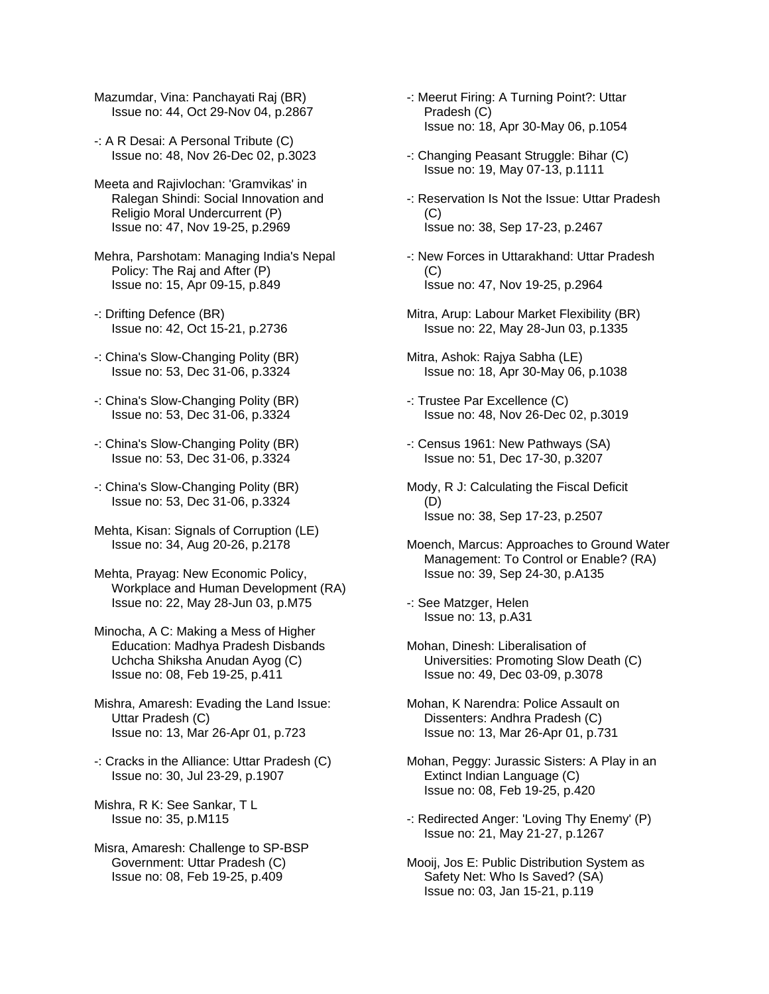Mazumdar, Vina: Panchayati Raj (BR) Issue no: 44, Oct 29-Nov 04, p.2867

-: A R Desai: A Personal Tribute (C) Issue no: 48, Nov 26-Dec 02, p.3023

Meeta and Rajivlochan: 'Gramvikas' in Ralegan Shindi: Social Innovation and Religio Moral Undercurrent (P) Issue no: 47, Nov 19-25, p.2969

Mehra, Parshotam: Managing India's Nepal Policy: The Raj and After (P) Issue no: 15, Apr 09-15, p.849

-: Drifting Defence (BR) Issue no: 42, Oct 15-21, p.2736

-: China's Slow-Changing Polity (BR) Issue no: 53, Dec 31-06, p.3324

-: China's Slow-Changing Polity (BR) Issue no: 53, Dec 31-06, p.3324

-: China's Slow-Changing Polity (BR) Issue no: 53, Dec 31-06, p.3324

-: China's Slow-Changing Polity (BR) Issue no: 53, Dec 31-06, p.3324

Mehta, Kisan: Signals of Corruption (LE) Issue no: 34, Aug 20-26, p.2178

Mehta, Prayag: New Economic Policy, Workplace and Human Development (RA) Issue no: 22, May 28-Jun 03, p.M75

Minocha, A C: Making a Mess of Higher Education: Madhya Pradesh Disbands Uchcha Shiksha Anudan Ayog (C) Issue no: 08, Feb 19-25, p.411

Mishra, Amaresh: Evading the Land Issue: Uttar Pradesh (C) Issue no: 13, Mar 26-Apr 01, p.723

-: Cracks in the Alliance: Uttar Pradesh (C) Issue no: 30, Jul 23-29, p.1907

Mishra, R K: See Sankar, T L Issue no: 35, p.M115

Misra, Amaresh: Challenge to SP-BSP Government: Uttar Pradesh (C) Issue no: 08, Feb 19-25, p.409

-: Meerut Firing: A Turning Point?: Uttar Pradesh (C) Issue no: 18, Apr 30-May 06, p.1054

-: Changing Peasant Struggle: Bihar (C) Issue no: 19, May 07-13, p.1111

-: Reservation Is Not the Issue: Uttar Pradesh (C) Issue no: 38, Sep 17-23, p.2467

-: New Forces in Uttarakhand: Uttar Pradesh  $(C)$ Issue no: 47, Nov 19-25, p.2964

Mitra, Arup: Labour Market Flexibility (BR) Issue no: 22, May 28-Jun 03, p.1335

Mitra, Ashok: Rajya Sabha (LE) Issue no: 18, Apr 30-May 06, p.1038

-: Trustee Par Excellence (C) Issue no: 48, Nov 26-Dec 02, p.3019

-: Census 1961: New Pathways (SA) Issue no: 51, Dec 17-30, p.3207

Mody, R J: Calculating the Fiscal Deficit (D) Issue no: 38, Sep 17-23, p.2507

Moench, Marcus: Approaches to Ground Water Management: To Control or Enable? (RA) Issue no: 39, Sep 24-30, p.A135

-: See Matzger, Helen Issue no: 13, p.A31

Mohan, Dinesh: Liberalisation of Universities: Promoting Slow Death (C) Issue no: 49, Dec 03-09, p.3078

Mohan, K Narendra: Police Assault on Dissenters: Andhra Pradesh (C) Issue no: 13, Mar 26-Apr 01, p.731

Mohan, Peggy: Jurassic Sisters: A Play in an Extinct Indian Language (C) Issue no: 08, Feb 19-25, p.420

-: Redirected Anger: 'Loving Thy Enemy' (P) Issue no: 21, May 21-27, p.1267

Mooij, Jos E: Public Distribution System as Safety Net: Who Is Saved? (SA) Issue no: 03, Jan 15-21, p.119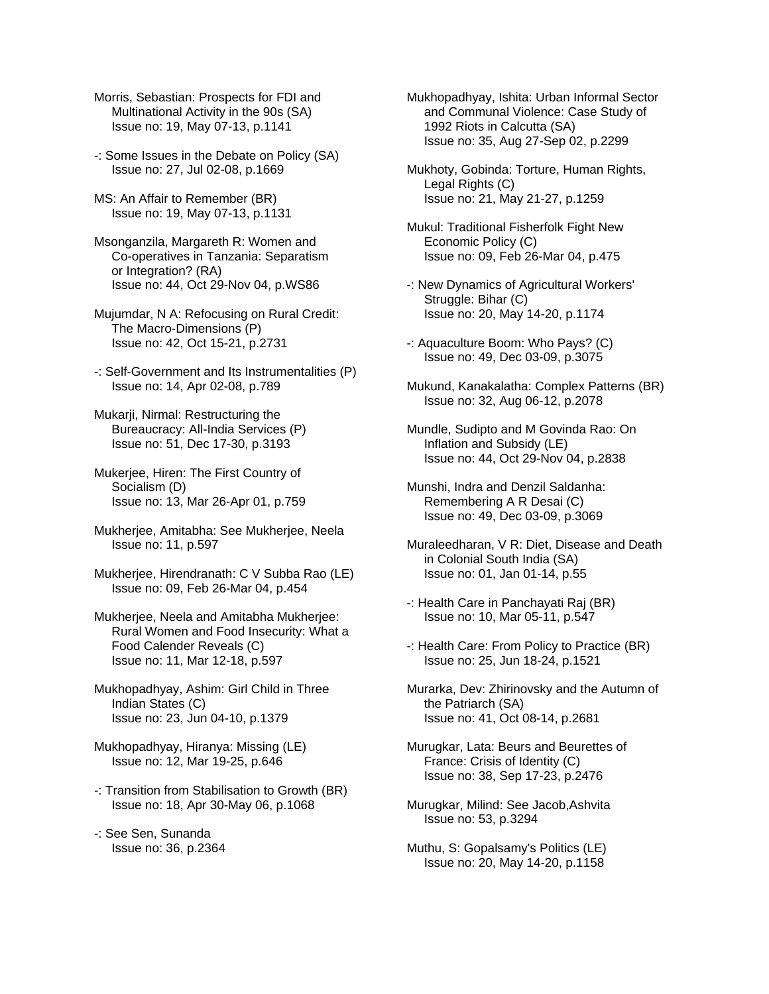- Morris, Sebastian: Prospects for FDI and Multinational Activity in the 90s (SA) Issue no: 19, May 07-13, p.1141
- -: Some Issues in the Debate on Policy (SA) Issue no: 27, Jul 02-08, p.1669
- MS: An Affair to Remember (BR) Issue no: 19, May 07-13, p.1131
- Msonganzila, Margareth R: Women and Co-operatives in Tanzania: Separatism or Integration? (RA) Issue no: 44, Oct 29-Nov 04, p.WS86
- Mujumdar, N A: Refocusing on Rural Credit: The Macro-Dimensions (P) Issue no: 42, Oct 15-21, p.2731
- -: Self-Government and Its Instrumentalities (P) Issue no: 14, Apr 02-08, p.789
- Mukarji, Nirmal: Restructuring the Bureaucracy: All-India Services (P) Issue no: 51, Dec 17-30, p.3193
- Mukerjee, Hiren: The First Country of Socialism (D) Issue no: 13, Mar 26-Apr 01, p.759
- Mukherjee, Amitabha: See Mukherjee, Neela Issue no: 11, p.597
- Mukherjee, Hirendranath: C V Subba Rao (LE) Issue no: 09, Feb 26-Mar 04, p.454
- Mukherjee, Neela and Amitabha Mukherjee: Rural Women and Food Insecurity: What a Food Calender Reveals (C) Issue no: 11, Mar 12-18, p.597
- Mukhopadhyay, Ashim: Girl Child in Three Indian States (C) Issue no: 23, Jun 04-10, p.1379
- Mukhopadhyay, Hiranya: Missing (LE) Issue no: 12, Mar 19-25, p.646
- -: Transition from Stabilisation to Growth (BR) Issue no: 18, Apr 30-May 06, p.1068
- -: See Sen, Sunanda Issue no: 36, p.2364
- Mukhopadhyay, Ishita: Urban Informal Sector and Communal Violence: Case Study of 1992 Riots in Calcutta (SA) Issue no: 35, Aug 27-Sep 02, p.2299
- Mukhoty, Gobinda: Torture, Human Rights, Legal Rights (C) Issue no: 21, May 21-27, p.1259
- Mukul: Traditional Fisherfolk Fight New Economic Policy (C) Issue no: 09, Feb 26-Mar 04, p.475
- -: New Dynamics of Agricultural Workers' Struggle: Bihar (C) Issue no: 20, May 14-20, p.1174
- -: Aquaculture Boom: Who Pays? (C) Issue no: 49, Dec 03-09, p.3075
- Mukund, Kanakalatha: Complex Patterns (BR) Issue no: 32, Aug 06-12, p.2078
- Mundle, Sudipto and M Govinda Rao: On Inflation and Subsidy (LE) Issue no: 44, Oct 29-Nov 04, p.2838
- Munshi, Indra and Denzil Saldanha: Remembering A R Desai (C) Issue no: 49, Dec 03-09, p.3069
- Muraleedharan, V R: Diet, Disease and Death in Colonial South India (SA) Issue no: 01, Jan 01-14, p.55
- -: Health Care in Panchayati Raj (BR) Issue no: 10, Mar 05-11, p.547
- -: Health Care: From Policy to Practice (BR) Issue no: 25, Jun 18-24, p.1521
- Murarka, Dev: Zhirinovsky and the Autumn of the Patriarch (SA) Issue no: 41, Oct 08-14, p.2681
- Murugkar, Lata: Beurs and Beurettes of France: Crisis of Identity (C) Issue no: 38, Sep 17-23, p.2476
- Murugkar, Milind: See Jacob,Ashvita Issue no: 53, p.3294
- Muthu, S: Gopalsamy's Politics (LE) Issue no: 20, May 14-20, p.1158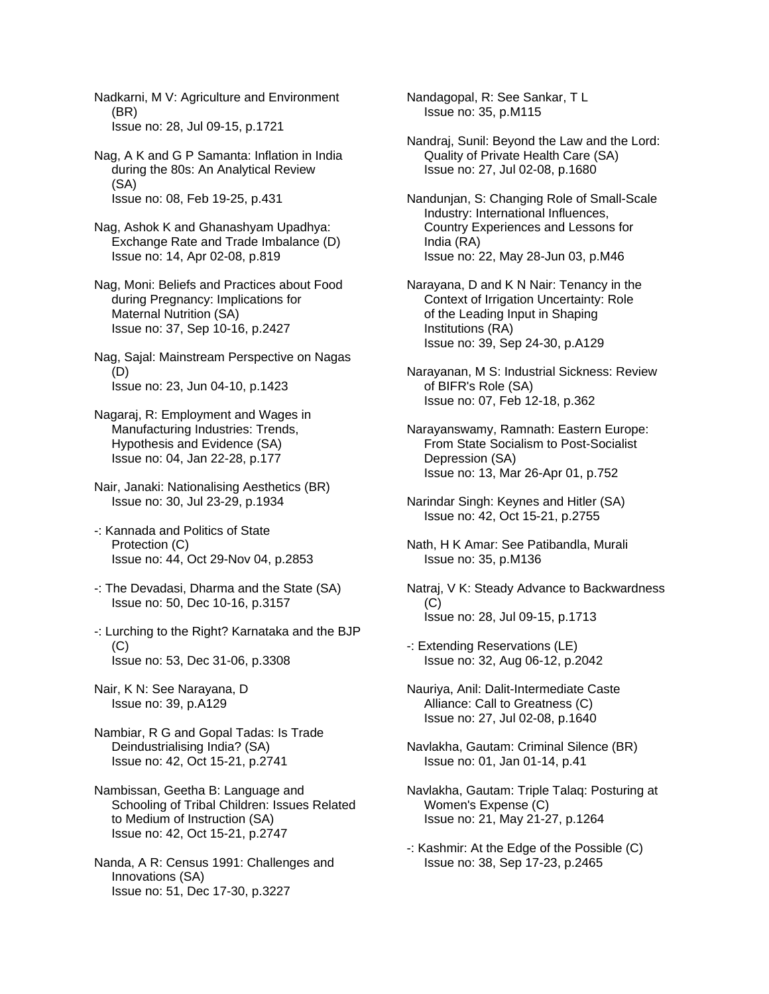Nadkarni, M V: Agriculture and Environment (BR) Issue no: 28, Jul 09-15, p.1721

- Nag, A K and G P Samanta: Inflation in India during the 80s: An Analytical Review (SA) Issue no: 08, Feb 19-25, p.431
- Nag, Ashok K and Ghanashyam Upadhya: Exchange Rate and Trade Imbalance (D) Issue no: 14, Apr 02-08, p.819
- Nag, Moni: Beliefs and Practices about Food during Pregnancy: Implications for Maternal Nutrition (SA) Issue no: 37, Sep 10-16, p.2427
- Nag, Sajal: Mainstream Perspective on Nagas (D) Issue no: 23, Jun 04-10, p.1423
- Nagaraj, R: Employment and Wages in Manufacturing Industries: Trends, Hypothesis and Evidence (SA) Issue no: 04, Jan 22-28, p.177
- Nair, Janaki: Nationalising Aesthetics (BR) Issue no: 30, Jul 23-29, p.1934
- -: Kannada and Politics of State Protection (C) Issue no: 44, Oct 29-Nov 04, p.2853
- -: The Devadasi, Dharma and the State (SA) Issue no: 50, Dec 10-16, p.3157
- -: Lurching to the Right? Karnataka and the BJP  $(C)$ Issue no: 53, Dec 31-06, p.3308
- Nair, K N: See Narayana, D Issue no: 39, p.A129
- Nambiar, R G and Gopal Tadas: Is Trade Deindustrialising India? (SA) Issue no: 42, Oct 15-21, p.2741
- Nambissan, Geetha B: Language and Schooling of Tribal Children: Issues Related to Medium of Instruction (SA) Issue no: 42, Oct 15-21, p.2747
- Nanda, A R: Census 1991: Challenges and Innovations (SA) Issue no: 51, Dec 17-30, p.3227

Nandagopal, R: See Sankar, T L Issue no: 35, p.M115

- Nandraj, Sunil: Beyond the Law and the Lord: Quality of Private Health Care (SA) Issue no: 27, Jul 02-08, p.1680
- Nandunjan, S: Changing Role of Small-Scale Industry: International Influences, Country Experiences and Lessons for India (RA) Issue no: 22, May 28-Jun 03, p.M46
- Narayana, D and K N Nair: Tenancy in the Context of Irrigation Uncertainty: Role of the Leading Input in Shaping Institutions (RA) Issue no: 39, Sep 24-30, p.A129
- Narayanan, M S: Industrial Sickness: Review of BIFR's Role (SA) Issue no: 07, Feb 12-18, p.362
- Narayanswamy, Ramnath: Eastern Europe: From State Socialism to Post-Socialist Depression (SA) Issue no: 13, Mar 26-Apr 01, p.752
- Narindar Singh: Keynes and Hitler (SA) Issue no: 42, Oct 15-21, p.2755
- Nath, H K Amar: See Patibandla, Murali Issue no: 35, p.M136
- Natraj, V K: Steady Advance to Backwardness  $(C)$ Issue no: 28, Jul 09-15, p.1713
- -: Extending Reservations (LE) Issue no: 32, Aug 06-12, p.2042
- Nauriya, Anil: Dalit-Intermediate Caste Alliance: Call to Greatness (C) Issue no: 27, Jul 02-08, p.1640
- Navlakha, Gautam: Criminal Silence (BR) Issue no: 01, Jan 01-14, p.41
- Navlakha, Gautam: Triple Talaq: Posturing at Women's Expense (C) Issue no: 21, May 21-27, p.1264
- -: Kashmir: At the Edge of the Possible (C) Issue no: 38, Sep 17-23, p.2465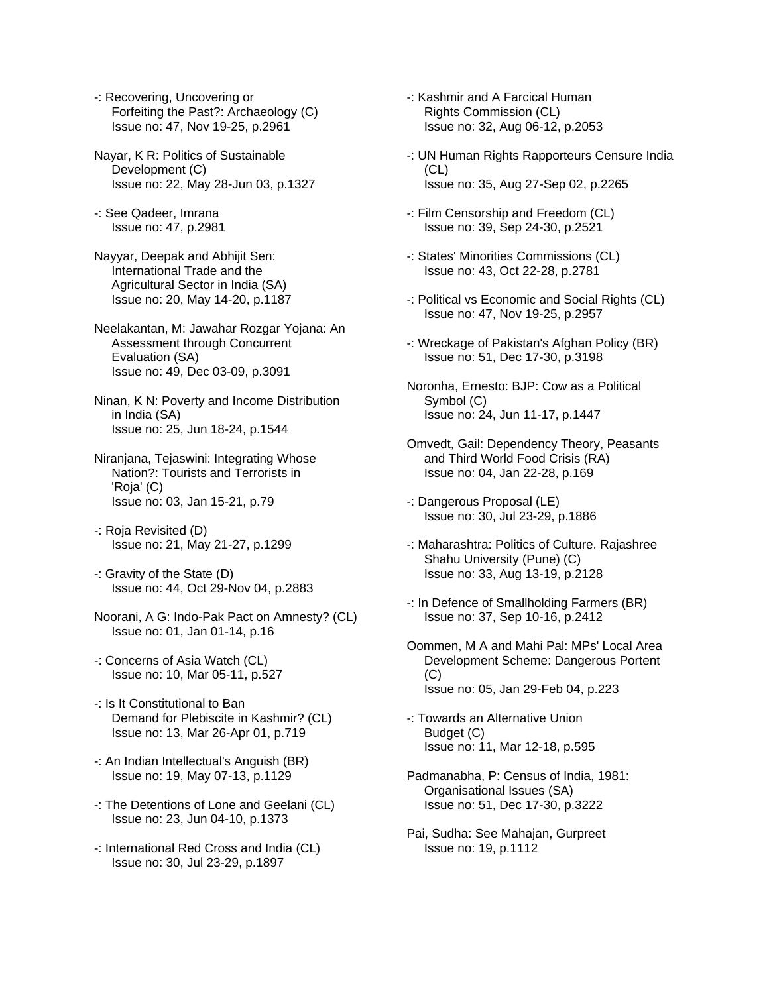- -: Recovering, Uncovering or Forfeiting the Past?: Archaeology (C) Issue no: 47, Nov 19-25, p.2961
- Nayar, K R: Politics of Sustainable Development (C) Issue no: 22, May 28-Jun 03, p.1327
- -: See Qadeer, Imrana Issue no: 47, p.2981
- Nayyar, Deepak and Abhijit Sen: International Trade and the Agricultural Sector in India (SA) Issue no: 20, May 14-20, p.1187
- Neelakantan, M: Jawahar Rozgar Yojana: An Assessment through Concurrent Evaluation (SA) Issue no: 49, Dec 03-09, p.3091
- Ninan, K N: Poverty and Income Distribution in India (SA) Issue no: 25, Jun 18-24, p.1544
- Niranjana, Tejaswini: Integrating Whose Nation?: Tourists and Terrorists in 'Roja' (C) Issue no: 03, Jan 15-21, p.79
- -: Roja Revisited (D) Issue no: 21, May 21-27, p.1299
- -: Gravity of the State (D) Issue no: 44, Oct 29-Nov 04, p.2883
- Noorani, A G: Indo-Pak Pact on Amnesty? (CL) Issue no: 01, Jan 01-14, p.16
- -: Concerns of Asia Watch (CL) Issue no: 10, Mar 05-11, p.527
- -: Is It Constitutional to Ban Demand for Plebiscite in Kashmir? (CL) Issue no: 13, Mar 26-Apr 01, p.719
- -: An Indian Intellectual's Anguish (BR) Issue no: 19, May 07-13, p.1129
- -: The Detentions of Lone and Geelani (CL) Issue no: 23, Jun 04-10, p.1373
- -: International Red Cross and India (CL) Issue no: 30, Jul 23-29, p.1897
- -: Kashmir and A Farcical Human Rights Commission (CL) Issue no: 32, Aug 06-12, p.2053
- -: UN Human Rights Rapporteurs Censure India (CL) Issue no: 35, Aug 27-Sep 02, p.2265
- -: Film Censorship and Freedom (CL) Issue no: 39, Sep 24-30, p.2521
- -: States' Minorities Commissions (CL) Issue no: 43, Oct 22-28, p.2781
- -: Political vs Economic and Social Rights (CL) Issue no: 47, Nov 19-25, p.2957
- -: Wreckage of Pakistan's Afghan Policy (BR) Issue no: 51, Dec 17-30, p.3198
- Noronha, Ernesto: BJP: Cow as a Political Symbol (C) Issue no: 24, Jun 11-17, p.1447
- Omvedt, Gail: Dependency Theory, Peasants and Third World Food Crisis (RA) Issue no: 04, Jan 22-28, p.169
- -: Dangerous Proposal (LE) Issue no: 30, Jul 23-29, p.1886
- -: Maharashtra: Politics of Culture. Rajashree Shahu University (Pune) (C) Issue no: 33, Aug 13-19, p.2128
- -: In Defence of Smallholding Farmers (BR) Issue no: 37, Sep 10-16, p.2412
- Oommen, M A and Mahi Pal: MPs' Local Area Development Scheme: Dangerous Portent (C) Issue no: 05, Jan 29-Feb 04, p.223
- -: Towards an Alternative Union Budget (C) Issue no: 11, Mar 12-18, p.595
- Padmanabha, P: Census of India, 1981: Organisational Issues (SA) Issue no: 51, Dec 17-30, p.3222
- Pai, Sudha: See Mahajan, Gurpreet Issue no: 19, p.1112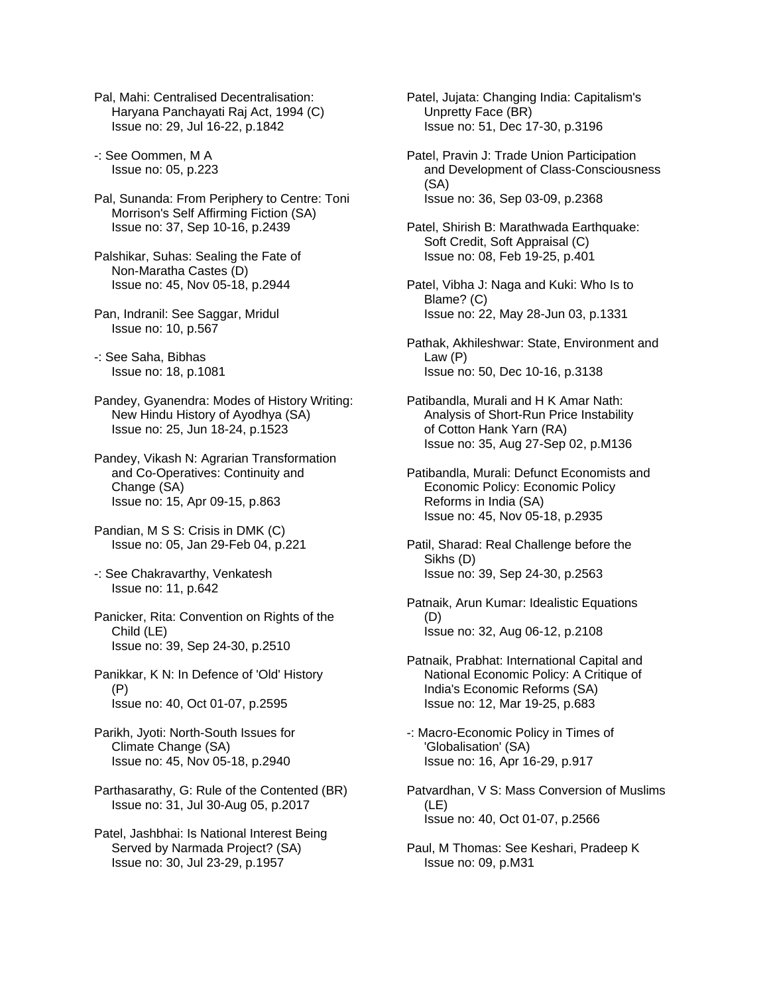Pal, Mahi: Centralised Decentralisation: Haryana Panchayati Raj Act, 1994 (C) Issue no: 29, Jul 16-22, p.1842

-: See Oommen, M A Issue no: 05, p.223

Pal, Sunanda: From Periphery to Centre: Toni Morrison's Self Affirming Fiction (SA) Issue no: 37, Sep 10-16, p.2439

Palshikar, Suhas: Sealing the Fate of Non-Maratha Castes (D) Issue no: 45, Nov 05-18, p.2944

Pan, Indranil: See Saggar, Mridul Issue no: 10, p.567

-: See Saha, Bibhas Issue no: 18, p.1081

Pandey, Gyanendra: Modes of History Writing: New Hindu History of Ayodhya (SA) Issue no: 25, Jun 18-24, p.1523

Pandey, Vikash N: Agrarian Transformation and Co-Operatives: Continuity and Change (SA) Issue no: 15, Apr 09-15, p.863

Pandian, M S S: Crisis in DMK (C) Issue no: 05, Jan 29-Feb 04, p.221

-: See Chakravarthy, Venkatesh Issue no: 11, p.642

Panicker, Rita: Convention on Rights of the Child (LE) Issue no: 39, Sep 24-30, p.2510

Panikkar, K N: In Defence of 'Old' History (P) Issue no: 40, Oct 01-07, p.2595

Parikh, Jyoti: North-South Issues for Climate Change (SA) Issue no: 45, Nov 05-18, p.2940

Parthasarathy, G: Rule of the Contented (BR) Issue no: 31, Jul 30-Aug 05, p.2017

Patel, Jashbhai: Is National Interest Being Served by Narmada Project? (SA) Issue no: 30, Jul 23-29, p.1957

Patel, Jujata: Changing India: Capitalism's Unpretty Face (BR) Issue no: 51, Dec 17-30, p.3196

Patel, Pravin J: Trade Union Participation and Development of Class-Consciousness (SA) Issue no: 36, Sep 03-09, p.2368

Patel, Shirish B: Marathwada Earthquake: Soft Credit, Soft Appraisal (C) Issue no: 08, Feb 19-25, p.401

Patel, Vibha J: Naga and Kuki: Who Is to Blame? (C) Issue no: 22, May 28-Jun 03, p.1331

Pathak, Akhileshwar: State, Environment and Law (P) Issue no: 50, Dec 10-16, p.3138

Patibandla, Murali and H K Amar Nath: Analysis of Short-Run Price Instability of Cotton Hank Yarn (RA) Issue no: 35, Aug 27-Sep 02, p.M136

Patibandla, Murali: Defunct Economists and Economic Policy: Economic Policy Reforms in India (SA) Issue no: 45, Nov 05-18, p.2935

Patil, Sharad: Real Challenge before the Sikhs (D) Issue no: 39, Sep 24-30, p.2563

Patnaik, Arun Kumar: Idealistic Equations (D) Issue no: 32, Aug 06-12, p.2108

Patnaik, Prabhat: International Capital and National Economic Policy: A Critique of India's Economic Reforms (SA) Issue no: 12, Mar 19-25, p.683

-: Macro-Economic Policy in Times of 'Globalisation' (SA) Issue no: 16, Apr 16-29, p.917

Patvardhan, V S: Mass Conversion of Muslims (LE) Issue no: 40, Oct 01-07, p.2566

Paul, M Thomas: See Keshari, Pradeep K Issue no: 09, p.M31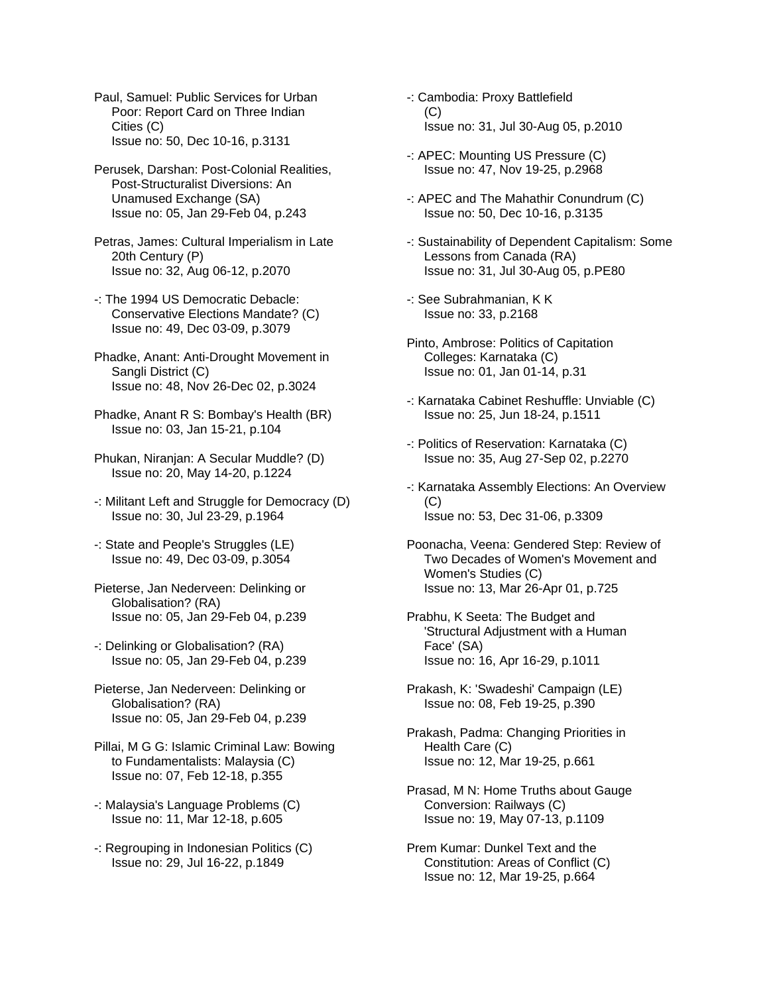Paul, Samuel: Public Services for Urban Poor: Report Card on Three Indian Cities (C) Issue no: 50, Dec 10-16, p.3131

Perusek, Darshan: Post-Colonial Realities, Post-Structuralist Diversions: An Unamused Exchange (SA) Issue no: 05, Jan 29-Feb 04, p.243

Petras, James: Cultural Imperialism in Late 20th Century (P) Issue no: 32, Aug 06-12, p.2070

- -: The 1994 US Democratic Debacle: Conservative Elections Mandate? (C) Issue no: 49, Dec 03-09, p.3079
- Phadke, Anant: Anti-Drought Movement in Sangli District (C) Issue no: 48, Nov 26-Dec 02, p.3024
- Phadke, Anant R S: Bombay's Health (BR) Issue no: 03, Jan 15-21, p.104
- Phukan, Niranjan: A Secular Muddle? (D) Issue no: 20, May 14-20, p.1224
- -: Militant Left and Struggle for Democracy (D) Issue no: 30, Jul 23-29, p.1964
- -: State and People's Struggles (LE) Issue no: 49, Dec 03-09, p.3054
- Pieterse, Jan Nederveen: Delinking or Globalisation? (RA) Issue no: 05, Jan 29-Feb 04, p.239
- -: Delinking or Globalisation? (RA) Issue no: 05, Jan 29-Feb 04, p.239
- Pieterse, Jan Nederveen: Delinking or Globalisation? (RA) Issue no: 05, Jan 29-Feb 04, p.239
- Pillai, M G G: Islamic Criminal Law: Bowing to Fundamentalists: Malaysia (C) Issue no: 07, Feb 12-18, p.355
- -: Malaysia's Language Problems (C) Issue no: 11, Mar 12-18, p.605
- -: Regrouping in Indonesian Politics (C) Issue no: 29, Jul 16-22, p.1849
- -: Cambodia: Proxy Battlefield  $(C)$ Issue no: 31, Jul 30-Aug 05, p.2010
- -: APEC: Mounting US Pressure (C) Issue no: 47, Nov 19-25, p.2968
- -: APEC and The Mahathir Conundrum (C) Issue no: 50, Dec 10-16, p.3135
- -: Sustainability of Dependent Capitalism: Some Lessons from Canada (RA) Issue no: 31, Jul 30-Aug 05, p.PE80
- -: See Subrahmanian, K K Issue no: 33, p.2168
- Pinto, Ambrose: Politics of Capitation Colleges: Karnataka (C) Issue no: 01, Jan 01-14, p.31
- -: Karnataka Cabinet Reshuffle: Unviable (C) Issue no: 25, Jun 18-24, p.1511
- -: Politics of Reservation: Karnataka (C) Issue no: 35, Aug 27-Sep 02, p.2270
- -: Karnataka Assembly Elections: An Overview (C) Issue no: 53, Dec 31-06, p.3309
- Poonacha, Veena: Gendered Step: Review of Two Decades of Women's Movement and Women's Studies (C) Issue no: 13, Mar 26-Apr 01, p.725
- Prabhu, K Seeta: The Budget and 'Structural Adjustment with a Human Face' (SA) Issue no: 16, Apr 16-29, p.1011
- Prakash, K: 'Swadeshi' Campaign (LE) Issue no: 08, Feb 19-25, p.390
- Prakash, Padma: Changing Priorities in Health Care (C) Issue no: 12, Mar 19-25, p.661
- Prasad, M N: Home Truths about Gauge Conversion: Railways (C) Issue no: 19, May 07-13, p.1109
- Prem Kumar: Dunkel Text and the Constitution: Areas of Conflict (C) Issue no: 12, Mar 19-25, p.664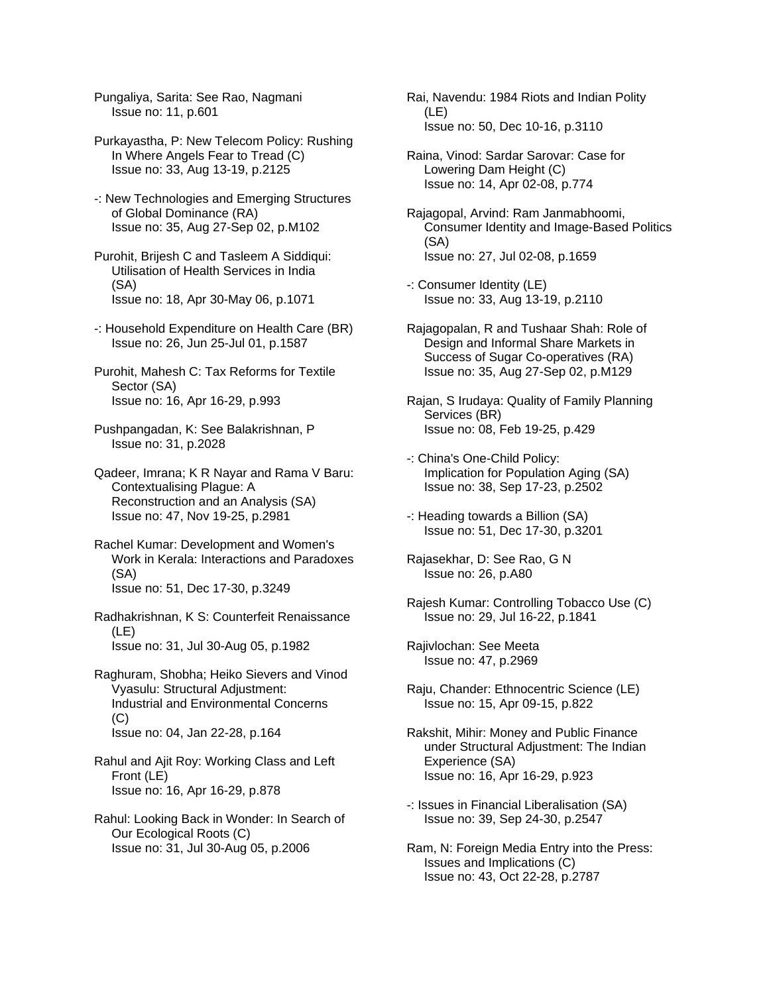Pungaliya, Sarita: See Rao, Nagmani Issue no: 11, p.601

Purkayastha, P: New Telecom Policy: Rushing In Where Angels Fear to Tread (C) Issue no: 33, Aug 13-19, p.2125

-: New Technologies and Emerging Structures of Global Dominance (RA) Issue no: 35, Aug 27-Sep 02, p.M102

Purohit, Brijesh C and Tasleem A Siddiqui: Utilisation of Health Services in India (SA) Issue no: 18, Apr 30-May 06, p.1071

-: Household Expenditure on Health Care (BR) Issue no: 26, Jun 25-Jul 01, p.1587

Purohit, Mahesh C: Tax Reforms for Textile Sector (SA) Issue no: 16, Apr 16-29, p.993

Pushpangadan, K: See Balakrishnan, P Issue no: 31, p.2028

Qadeer, Imrana; K R Nayar and Rama V Baru: Contextualising Plague: A Reconstruction and an Analysis (SA) Issue no: 47, Nov 19-25, p.2981

Rachel Kumar: Development and Women's Work in Kerala: Interactions and Paradoxes (SA) Issue no: 51, Dec 17-30, p.3249

Radhakrishnan, K S: Counterfeit Renaissance (LE) Issue no: 31, Jul 30-Aug 05, p.1982

Raghuram, Shobha; Heiko Sievers and Vinod Vyasulu: Structural Adjustment: Industrial and Environmental Concerns (C) Issue no: 04, Jan 22-28, p.164

Rahul and Ajit Roy: Working Class and Left Front (LE) Issue no: 16, Apr 16-29, p.878

Rahul: Looking Back in Wonder: In Search of Our Ecological Roots (C) Issue no: 31, Jul 30-Aug 05, p.2006

Rai, Navendu: 1984 Riots and Indian Polity (LE) Issue no: 50, Dec 10-16, p.3110

Raina, Vinod: Sardar Sarovar: Case for Lowering Dam Height (C) Issue no: 14, Apr 02-08, p.774

Rajagopal, Arvind: Ram Janmabhoomi, Consumer Identity and Image-Based Politics (SA) Issue no: 27, Jul 02-08, p.1659

-: Consumer Identity (LE) Issue no: 33, Aug 13-19, p.2110

Rajagopalan, R and Tushaar Shah: Role of Design and Informal Share Markets in Success of Sugar Co-operatives (RA) Issue no: 35, Aug 27-Sep 02, p.M129

Rajan, S Irudaya: Quality of Family Planning Services (BR) Issue no: 08, Feb 19-25, p.429

-: China's One-Child Policy: Implication for Population Aging (SA) Issue no: 38, Sep 17-23, p.2502

-: Heading towards a Billion (SA) Issue no: 51, Dec 17-30, p.3201

Rajasekhar, D: See Rao, G N Issue no: 26, p.A80

Rajesh Kumar: Controlling Tobacco Use (C) Issue no: 29, Jul 16-22, p.1841

Rajivlochan: See Meeta Issue no: 47, p.2969

Raju, Chander: Ethnocentric Science (LE) Issue no: 15, Apr 09-15, p.822

Rakshit, Mihir: Money and Public Finance under Structural Adjustment: The Indian Experience (SA) Issue no: 16, Apr 16-29, p.923

-: Issues in Financial Liberalisation (SA) Issue no: 39, Sep 24-30, p.2547

Ram, N: Foreign Media Entry into the Press: Issues and Implications (C) Issue no: 43, Oct 22-28, p.2787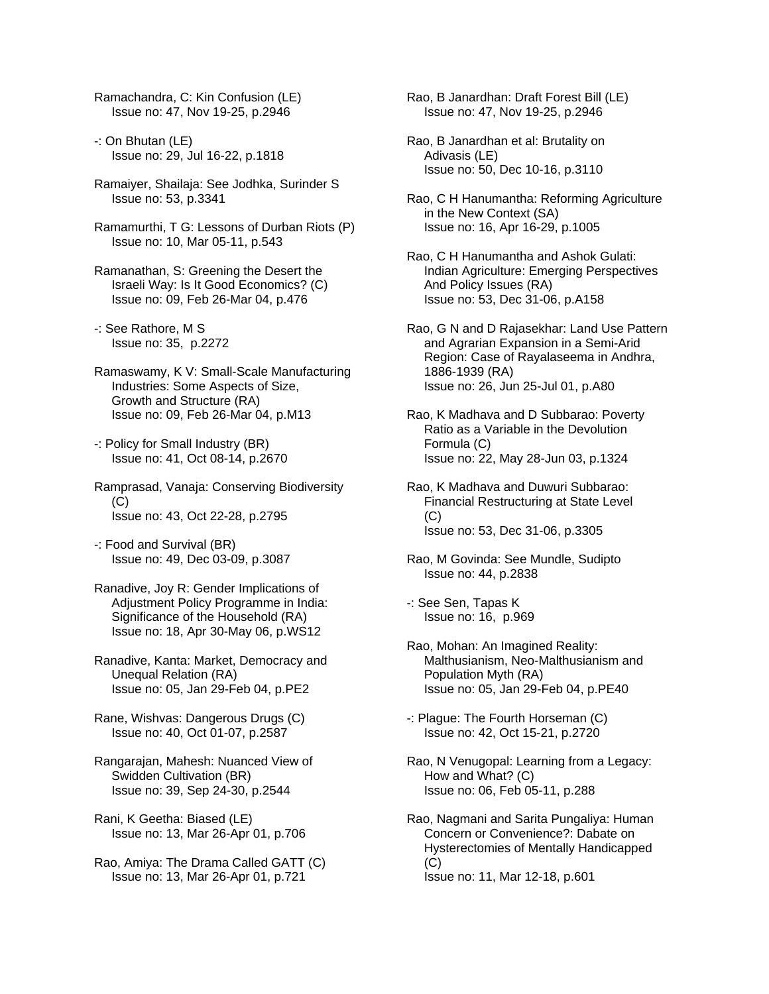Ramachandra, C: Kin Confusion (LE) Issue no: 47, Nov 19-25, p.2946

- -: On Bhutan (LE) Issue no: 29, Jul 16-22, p.1818
- Ramaiyer, Shailaja: See Jodhka, Surinder S Issue no: 53, p.3341
- Ramamurthi, T G: Lessons of Durban Riots (P) Issue no: 10, Mar 05-11, p.543
- Ramanathan, S: Greening the Desert the Israeli Way: Is It Good Economics? (C) Issue no: 09, Feb 26-Mar 04, p.476
- -: See Rathore, M S Issue no: 35, p.2272
- Ramaswamy, K V: Small-Scale Manufacturing Industries: Some Aspects of Size, Growth and Structure (RA) Issue no: 09, Feb 26-Mar 04, p.M13
- -: Policy for Small Industry (BR) Issue no: 41, Oct 08-14, p.2670
- Ramprasad, Vanaja: Conserving Biodiversity (C) Issue no: 43, Oct 22-28, p.2795
- -: Food and Survival (BR) Issue no: 49, Dec 03-09, p.3087
- Ranadive, Joy R: Gender Implications of Adjustment Policy Programme in India: Significance of the Household (RA) Issue no: 18, Apr 30-May 06, p.WS12
- Ranadive, Kanta: Market, Democracy and Unequal Relation (RA) Issue no: 05, Jan 29-Feb 04, p.PE2
- Rane, Wishvas: Dangerous Drugs (C) Issue no: 40, Oct 01-07, p.2587
- Rangarajan, Mahesh: Nuanced View of Swidden Cultivation (BR) Issue no: 39, Sep 24-30, p.2544
- Rani, K Geetha: Biased (LE) Issue no: 13, Mar 26-Apr 01, p.706
- Rao, Amiya: The Drama Called GATT (C) Issue no: 13, Mar 26-Apr 01, p.721

Rao, B Janardhan: Draft Forest Bill (LE) Issue no: 47, Nov 19-25, p.2946

- Rao, B Janardhan et al: Brutality on Adivasis (LE) Issue no: 50, Dec 10-16, p.3110
- Rao, C H Hanumantha: Reforming Agriculture in the New Context (SA) Issue no: 16, Apr 16-29, p.1005
- Rao, C H Hanumantha and Ashok Gulati: Indian Agriculture: Emerging Perspectives And Policy Issues (RA) Issue no: 53, Dec 31-06, p.A158
- Rao, G N and D Rajasekhar: Land Use Pattern and Agrarian Expansion in a Semi-Arid Region: Case of Rayalaseema in Andhra, 1886-1939 (RA) Issue no: 26, Jun 25-Jul 01, p.A80
- Rao, K Madhava and D Subbarao: Poverty Ratio as a Variable in the Devolution Formula (C) Issue no: 22, May 28-Jun 03, p.1324
- Rao, K Madhava and Duwuri Subbarao: Financial Restructuring at State Level (C) Issue no: 53, Dec 31-06, p.3305
- Rao, M Govinda: See Mundle, Sudipto Issue no: 44, p.2838
- -: See Sen, Tapas K Issue no: 16, p.969
- Rao, Mohan: An Imagined Reality: Malthusianism, Neo-Malthusianism and Population Myth (RA) Issue no: 05, Jan 29-Feb 04, p.PE40
- -: Plague: The Fourth Horseman (C) Issue no: 42, Oct 15-21, p.2720
- Rao, N Venugopal: Learning from a Legacy: How and What? (C) Issue no: 06, Feb 05-11, p.288
- Rao, Nagmani and Sarita Pungaliya: Human Concern or Convenience?: Dabate on Hysterectomies of Mentally Handicapped (C) Issue no: 11, Mar 12-18, p.601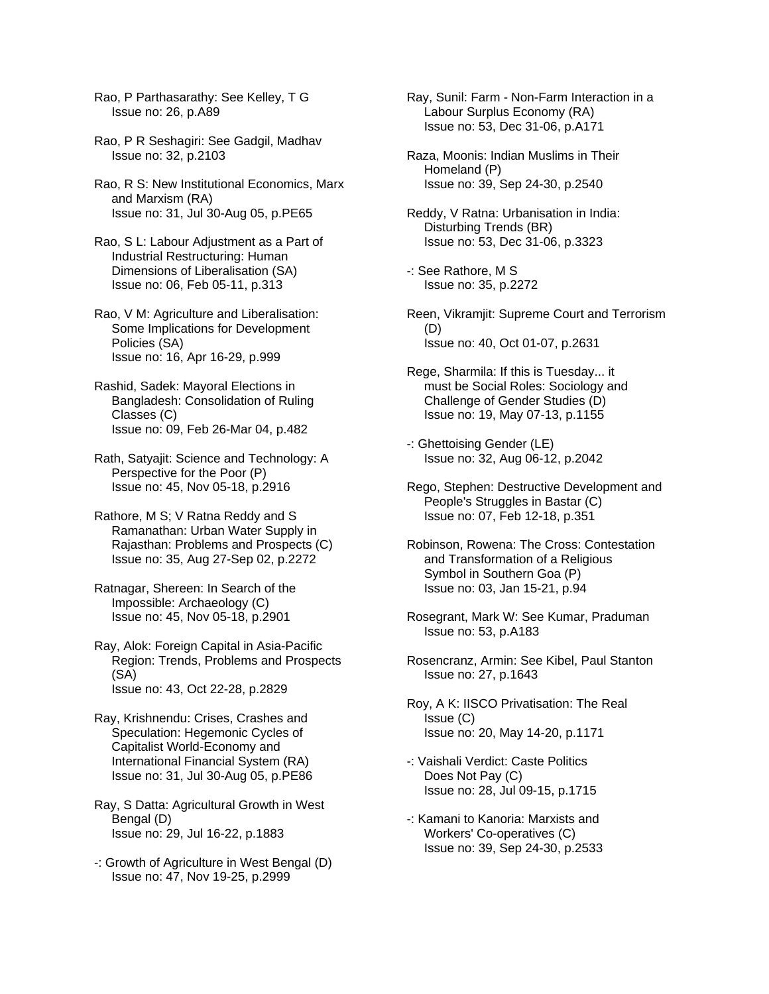Rao, P Parthasarathy: See Kelley, T G Issue no: 26, p.A89

- Rao, P R Seshagiri: See Gadgil, Madhav Issue no: 32, p.2103
- Rao, R S: New Institutional Economics, Marx and Marxism (RA) Issue no: 31, Jul 30-Aug 05, p.PE65
- Rao, S L: Labour Adjustment as a Part of Industrial Restructuring: Human Dimensions of Liberalisation (SA) Issue no: 06, Feb 05-11, p.313
- Rao, V M: Agriculture and Liberalisation: Some Implications for Development Policies (SA) Issue no: 16, Apr 16-29, p.999
- Rashid, Sadek: Mayoral Elections in Bangladesh: Consolidation of Ruling Classes (C) Issue no: 09, Feb 26-Mar 04, p.482
- Rath, Satyajit: Science and Technology: A Perspective for the Poor (P) Issue no: 45, Nov 05-18, p.2916
- Rathore, M S; V Ratna Reddy and S Ramanathan: Urban Water Supply in Rajasthan: Problems and Prospects (C) Issue no: 35, Aug 27-Sep 02, p.2272
- Ratnagar, Shereen: In Search of the Impossible: Archaeology (C) Issue no: 45, Nov 05-18, p.2901
- Ray, Alok: Foreign Capital in Asia-Pacific Region: Trends, Problems and Prospects (SA) Issue no: 43, Oct 22-28, p.2829
- Ray, Krishnendu: Crises, Crashes and Speculation: Hegemonic Cycles of Capitalist World-Economy and International Financial System (RA) Issue no: 31, Jul 30-Aug 05, p.PE86
- Ray, S Datta: Agricultural Growth in West Bengal (D) Issue no: 29, Jul 16-22, p.1883
- -: Growth of Agriculture in West Bengal (D) Issue no: 47, Nov 19-25, p.2999
- Ray, Sunil: Farm Non-Farm Interaction in a Labour Surplus Economy (RA) Issue no: 53, Dec 31-06, p.A171
- Raza, Moonis: Indian Muslims in Their Homeland (P) Issue no: 39, Sep 24-30, p.2540
- Reddy, V Ratna: Urbanisation in India: Disturbing Trends (BR) Issue no: 53, Dec 31-06, p.3323
- -: See Rathore, M S Issue no: 35, p.2272
- Reen, Vikramjit: Supreme Court and Terrorism (D) Issue no: 40, Oct 01-07, p.2631
- Rege, Sharmila: If this is Tuesday... it must be Social Roles: Sociology and Challenge of Gender Studies (D) Issue no: 19, May 07-13, p.1155
- -: Ghettoising Gender (LE) Issue no: 32, Aug 06-12, p.2042
- Rego, Stephen: Destructive Development and People's Struggles in Bastar (C) Issue no: 07, Feb 12-18, p.351
- Robinson, Rowena: The Cross: Contestation and Transformation of a Religious Symbol in Southern Goa (P) Issue no: 03, Jan 15-21, p.94
- Rosegrant, Mark W: See Kumar, Praduman Issue no: 53, p.A183
- Rosencranz, Armin: See Kibel, Paul Stanton Issue no: 27, p.1643
- Roy, A K: IISCO Privatisation: The Real Issue (C) Issue no: 20, May 14-20, p.1171
- -: Vaishali Verdict: Caste Politics Does Not Pay (C) Issue no: 28, Jul 09-15, p.1715
- -: Kamani to Kanoria: Marxists and Workers' Co-operatives (C) Issue no: 39, Sep 24-30, p.2533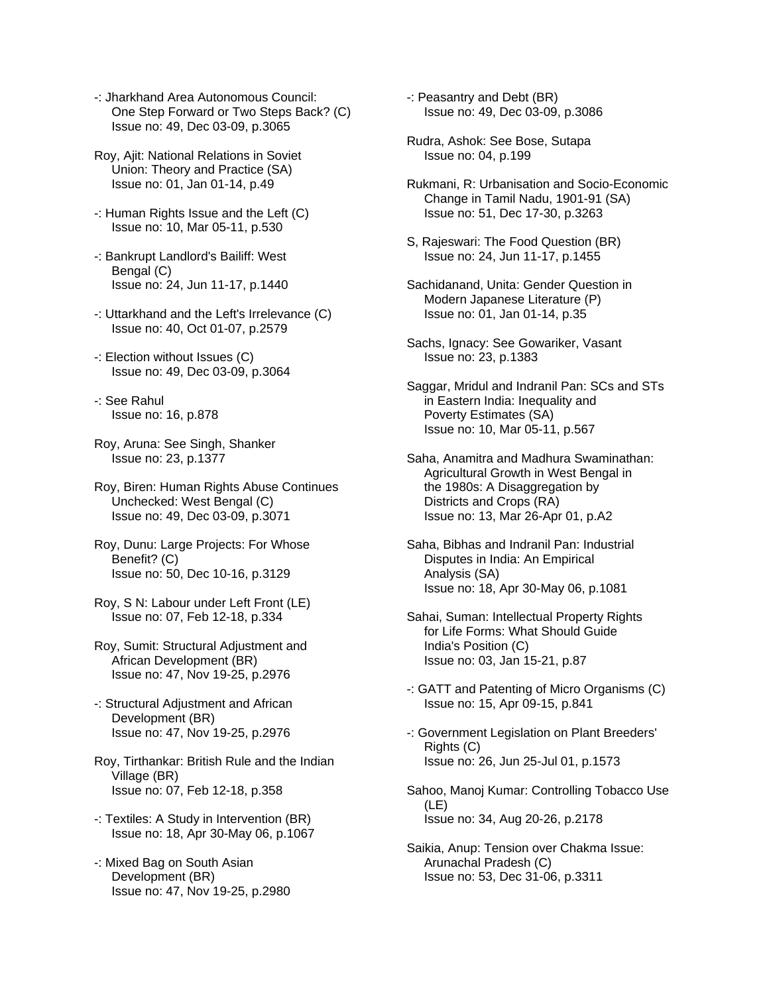- -: Jharkhand Area Autonomous Council: One Step Forward or Two Steps Back? (C) Issue no: 49, Dec 03-09, p.3065
- Roy, Ajit: National Relations in Soviet Union: Theory and Practice (SA) Issue no: 01, Jan 01-14, p.49
- -: Human Rights Issue and the Left (C) Issue no: 10, Mar 05-11, p.530
- -: Bankrupt Landlord's Bailiff: West Bengal (C) Issue no: 24, Jun 11-17, p.1440
- -: Uttarkhand and the Left's Irrelevance (C) Issue no: 40, Oct 01-07, p.2579
- -: Election without Issues (C) Issue no: 49, Dec 03-09, p.3064
- -: See Rahul Issue no: 16, p.878
- Roy, Aruna: See Singh, Shanker Issue no: 23, p.1377
- Roy, Biren: Human Rights Abuse Continues Unchecked: West Bengal (C) Issue no: 49, Dec 03-09, p.3071
- Roy, Dunu: Large Projects: For Whose Benefit? (C) Issue no: 50, Dec 10-16, p.3129
- Roy, S N: Labour under Left Front (LE) Issue no: 07, Feb 12-18, p.334
- Roy, Sumit: Structural Adjustment and African Development (BR) Issue no: 47, Nov 19-25, p.2976
- -: Structural Adjustment and African Development (BR) Issue no: 47, Nov 19-25, p.2976
- Roy, Tirthankar: British Rule and the Indian Village (BR) Issue no: 07, Feb 12-18, p.358
- -: Textiles: A Study in Intervention (BR) Issue no: 18, Apr 30-May 06, p.1067
- -: Mixed Bag on South Asian Development (BR) Issue no: 47, Nov 19-25, p.2980
- -: Peasantry and Debt (BR) Issue no: 49, Dec 03-09, p.3086
- Rudra, Ashok: See Bose, Sutapa Issue no: 04, p.199
- Rukmani, R: Urbanisation and Socio-Economic Change in Tamil Nadu, 1901-91 (SA) Issue no: 51, Dec 17-30, p.3263
- S, Rajeswari: The Food Question (BR) Issue no: 24, Jun 11-17, p.1455
- Sachidanand, Unita: Gender Question in Modern Japanese Literature (P) Issue no: 01, Jan 01-14, p.35
- Sachs, Ignacy: See Gowariker, Vasant Issue no: 23, p.1383
- Saggar, Mridul and Indranil Pan: SCs and STs in Eastern India: Inequality and Poverty Estimates (SA) Issue no: 10, Mar 05-11, p.567
- Saha, Anamitra and Madhura Swaminathan: Agricultural Growth in West Bengal in the 1980s: A Disaggregation by Districts and Crops (RA) Issue no: 13, Mar 26-Apr 01, p.A2
- Saha, Bibhas and Indranil Pan: Industrial Disputes in India: An Empirical Analysis (SA) Issue no: 18, Apr 30-May 06, p.1081
- Sahai, Suman: Intellectual Property Rights for Life Forms: What Should Guide India's Position (C) Issue no: 03, Jan 15-21, p.87
- -: GATT and Patenting of Micro Organisms (C) Issue no: 15, Apr 09-15, p.841
- -: Government Legislation on Plant Breeders' Rights (C) Issue no: 26, Jun 25-Jul 01, p.1573
- Sahoo, Manoj Kumar: Controlling Tobacco Use (LE) Issue no: 34, Aug 20-26, p.2178
- Saikia, Anup: Tension over Chakma Issue: Arunachal Pradesh (C) Issue no: 53, Dec 31-06, p.3311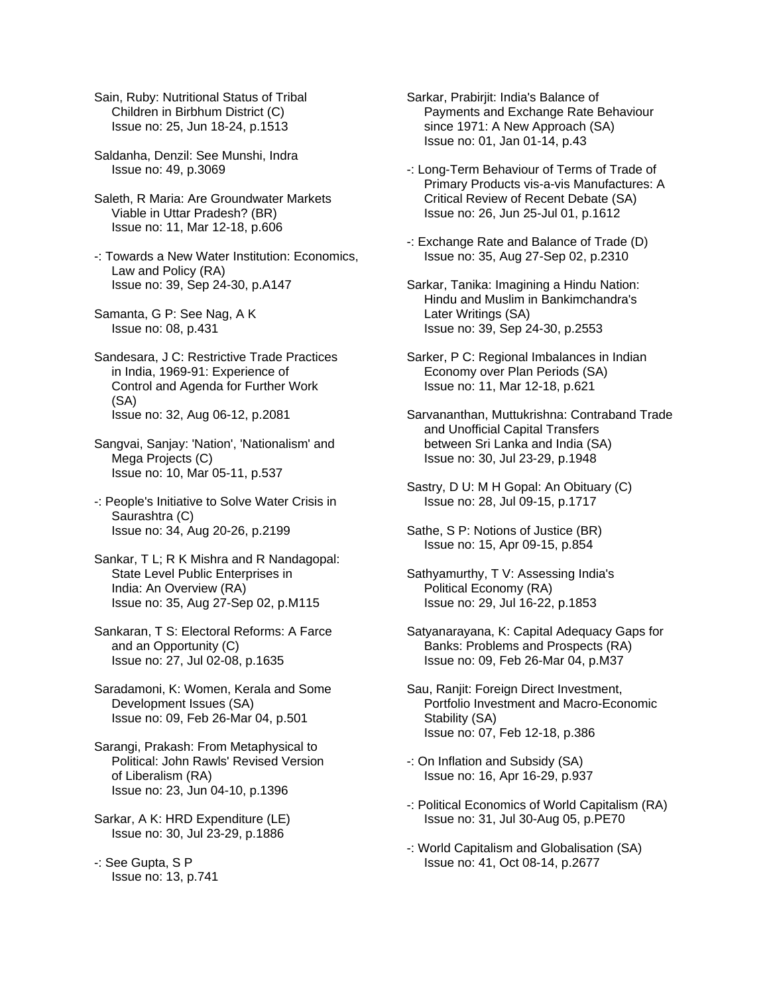- Sain, Ruby: Nutritional Status of Tribal Children in Birbhum District (C) Issue no: 25, Jun 18-24, p.1513
- Saldanha, Denzil: See Munshi, Indra Issue no: 49, p.3069
- Saleth, R Maria: Are Groundwater Markets Viable in Uttar Pradesh? (BR) Issue no: 11, Mar 12-18, p.606
- -: Towards a New Water Institution: Economics, Law and Policy (RA) Issue no: 39, Sep 24-30, p.A147
- Samanta, G P: See Nag, A K Issue no: 08, p.431
- Sandesara, J C: Restrictive Trade Practices in India, 1969-91: Experience of Control and Agenda for Further Work (SA) Issue no: 32, Aug 06-12, p.2081
- Sangvai, Sanjay: 'Nation', 'Nationalism' and Mega Projects (C) Issue no: 10, Mar 05-11, p.537
- -: People's Initiative to Solve Water Crisis in Saurashtra (C) Issue no: 34, Aug 20-26, p.2199
- Sankar, T L; R K Mishra and R Nandagopal: State Level Public Enterprises in India: An Overview (RA) Issue no: 35, Aug 27-Sep 02, p.M115
- Sankaran, T S: Electoral Reforms: A Farce and an Opportunity (C) Issue no: 27, Jul 02-08, p.1635
- Saradamoni, K: Women, Kerala and Some Development Issues (SA) Issue no: 09, Feb 26-Mar 04, p.501
- Sarangi, Prakash: From Metaphysical to Political: John Rawls' Revised Version of Liberalism (RA) Issue no: 23, Jun 04-10, p.1396
- Sarkar, A K: HRD Expenditure (LE) Issue no: 30, Jul 23-29, p.1886
- -: See Gupta, S P Issue no: 13, p.741
- Sarkar, Prabirjit: India's Balance of Payments and Exchange Rate Behaviour since 1971: A New Approach (SA) Issue no: 01, Jan 01-14, p.43
- -: Long-Term Behaviour of Terms of Trade of Primary Products vis-a-vis Manufactures: A Critical Review of Recent Debate (SA) Issue no: 26, Jun 25-Jul 01, p.1612
- -: Exchange Rate and Balance of Trade (D) Issue no: 35, Aug 27-Sep 02, p.2310
- Sarkar, Tanika: Imagining a Hindu Nation: Hindu and Muslim in Bankimchandra's Later Writings (SA) Issue no: 39, Sep 24-30, p.2553
- Sarker, P C: Regional Imbalances in Indian Economy over Plan Periods (SA) Issue no: 11, Mar 12-18, p.621
- Sarvananthan, Muttukrishna: Contraband Trade and Unofficial Capital Transfers between Sri Lanka and India (SA) Issue no: 30, Jul 23-29, p.1948
- Sastry, D U: M H Gopal: An Obituary (C) Issue no: 28, Jul 09-15, p.1717
- Sathe, S P: Notions of Justice (BR) Issue no: 15, Apr 09-15, p.854
- Sathyamurthy, T V: Assessing India's Political Economy (RA) Issue no: 29, Jul 16-22, p.1853
- Satyanarayana, K: Capital Adequacy Gaps for Banks: Problems and Prospects (RA) Issue no: 09, Feb 26-Mar 04, p.M37
- Sau, Ranjit: Foreign Direct Investment, Portfolio Investment and Macro-Economic Stability (SA) Issue no: 07, Feb 12-18, p.386
- -: On Inflation and Subsidy (SA) Issue no: 16, Apr 16-29, p.937
- -: Political Economics of World Capitalism (RA) Issue no: 31, Jul 30-Aug 05, p.PE70
- -: World Capitalism and Globalisation (SA) Issue no: 41, Oct 08-14, p.2677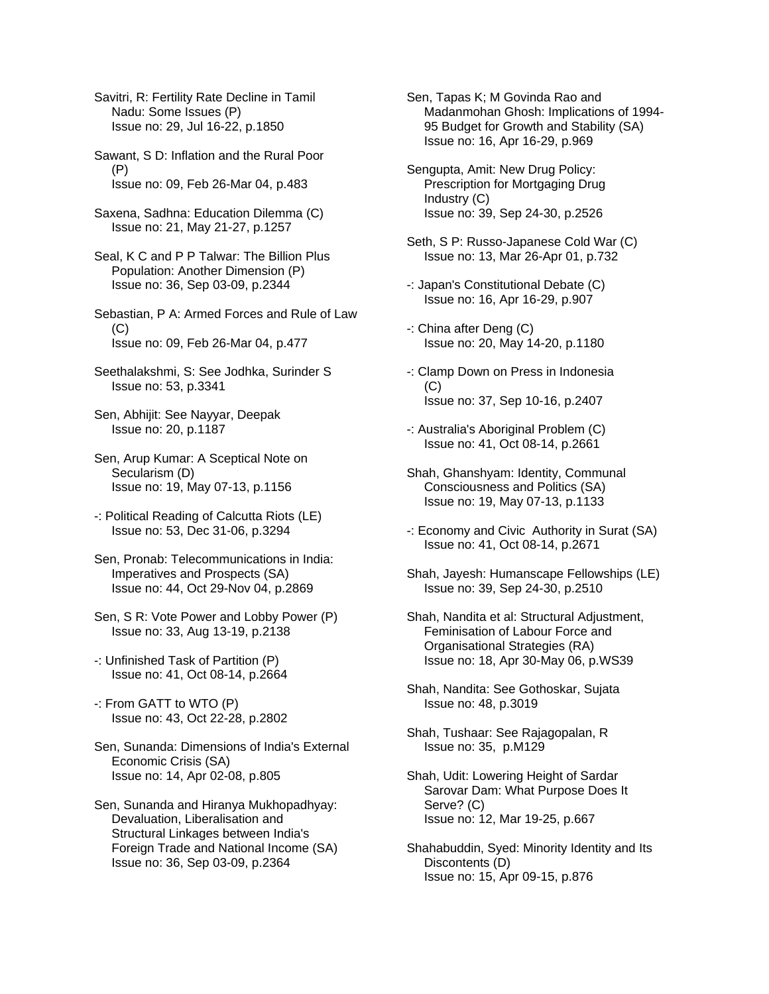Savitri, R: Fertility Rate Decline in Tamil Nadu: Some Issues (P) Issue no: 29, Jul 16-22, p.1850

Sawant, S D: Inflation and the Rural Poor (P) Issue no: 09, Feb 26-Mar 04, p.483

Saxena, Sadhna: Education Dilemma (C) Issue no: 21, May 21-27, p.1257

Seal, K C and P P Talwar: The Billion Plus Population: Another Dimension (P) Issue no: 36, Sep 03-09, p.2344

Sebastian, P A: Armed Forces and Rule of Law  $(C)$ Issue no: 09, Feb 26-Mar 04, p.477

Seethalakshmi, S: See Jodhka, Surinder S Issue no: 53, p.3341

Sen, Abhijit: See Nayyar, Deepak Issue no: 20, p.1187

Sen, Arup Kumar: A Sceptical Note on Secularism (D) Issue no: 19, May 07-13, p.1156

-: Political Reading of Calcutta Riots (LE) Issue no: 53, Dec 31-06, p.3294

Sen, Pronab: Telecommunications in India: Imperatives and Prospects (SA) Issue no: 44, Oct 29-Nov 04, p.2869

Sen, S R: Vote Power and Lobby Power (P) Issue no: 33, Aug 13-19, p.2138

-: Unfinished Task of Partition (P) Issue no: 41, Oct 08-14, p.2664

-: From GATT to WTO (P) Issue no: 43, Oct 22-28, p.2802

Sen, Sunanda: Dimensions of India's External Economic Crisis (SA) Issue no: 14, Apr 02-08, p.805

Sen, Sunanda and Hiranya Mukhopadhyay: Devaluation, Liberalisation and Structural Linkages between India's Foreign Trade and National Income (SA) Issue no: 36, Sep 03-09, p.2364

Sen, Tapas K; M Govinda Rao and Madanmohan Ghosh: Implications of 1994- 95 Budget for Growth and Stability (SA) Issue no: 16, Apr 16-29, p.969

Sengupta, Amit: New Drug Policy: Prescription for Mortgaging Drug Industry (C) Issue no: 39, Sep 24-30, p.2526

Seth, S P: Russo-Japanese Cold War (C) Issue no: 13, Mar 26-Apr 01, p.732

-: Japan's Constitutional Debate (C) Issue no: 16, Apr 16-29, p.907

-: China after Deng (C) Issue no: 20, May 14-20, p.1180

-: Clamp Down on Press in Indonesia (C) Issue no: 37, Sep 10-16, p.2407

-: Australia's Aboriginal Problem (C) Issue no: 41, Oct 08-14, p.2661

Shah, Ghanshyam: Identity, Communal Consciousness and Politics (SA) Issue no: 19, May 07-13, p.1133

-: Economy and Civic Authority in Surat (SA) Issue no: 41, Oct 08-14, p.2671

Shah, Jayesh: Humanscape Fellowships (LE) Issue no: 39, Sep 24-30, p.2510

Shah, Nandita et al: Structural Adjustment, Feminisation of Labour Force and Organisational Strategies (RA) Issue no: 18, Apr 30-May 06, p.WS39

Shah, Nandita: See Gothoskar, Sujata Issue no: 48, p.3019

Shah, Tushaar: See Rajagopalan, R Issue no: 35, p.M129

Shah, Udit: Lowering Height of Sardar Sarovar Dam: What Purpose Does It Serve? (C) Issue no: 12, Mar 19-25, p.667

Shahabuddin, Syed: Minority Identity and Its Discontents (D) Issue no: 15, Apr 09-15, p.876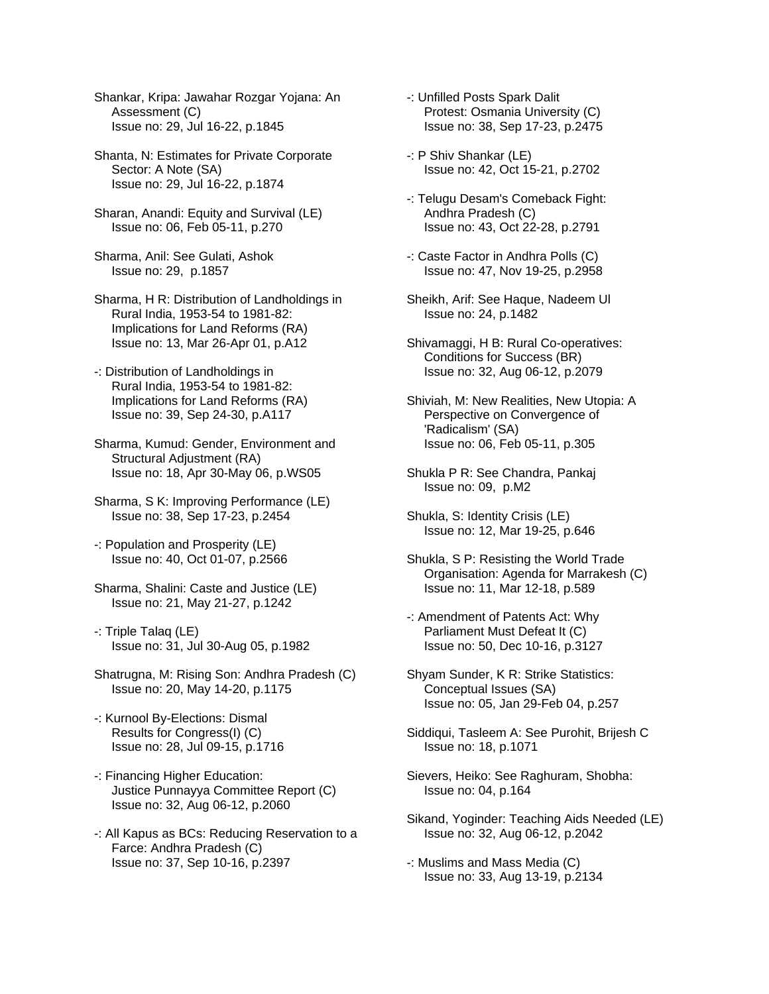Shankar, Kripa: Jawahar Rozgar Yojana: An Assessment (C) Issue no: 29, Jul 16-22, p.1845

Shanta, N: Estimates for Private Corporate Sector: A Note (SA) Issue no: 29, Jul 16-22, p.1874

Sharan, Anandi: Equity and Survival (LE) Issue no: 06, Feb 05-11, p.270

Sharma, Anil: See Gulati, Ashok Issue no: 29, p.1857

Sharma, H R: Distribution of Landholdings in Rural India, 1953-54 to 1981-82: Implications for Land Reforms (RA) Issue no: 13, Mar 26-Apr 01, p.A12

-: Distribution of Landholdings in Rural India, 1953-54 to 1981-82: Implications for Land Reforms (RA) Issue no: 39, Sep 24-30, p.A117

Sharma, Kumud: Gender, Environment and Structural Adjustment (RA) Issue no: 18, Apr 30-May 06, p.WS05

Sharma, S K: Improving Performance (LE) Issue no: 38, Sep 17-23, p.2454

-: Population and Prosperity (LE) Issue no: 40, Oct 01-07, p.2566

Sharma, Shalini: Caste and Justice (LE) Issue no: 21, May 21-27, p.1242

-: Triple Talaq (LE) Issue no: 31, Jul 30-Aug 05, p.1982

Shatrugna, M: Rising Son: Andhra Pradesh (C) Issue no: 20, May 14-20, p.1175

-: Kurnool By-Elections: Dismal Results for Congress(I) (C) Issue no: 28, Jul 09-15, p.1716

-: Financing Higher Education: Justice Punnayya Committee Report (C) Issue no: 32, Aug 06-12, p.2060

-: All Kapus as BCs: Reducing Reservation to a Farce: Andhra Pradesh (C) Issue no: 37, Sep 10-16, p.2397

-: Unfilled Posts Spark Dalit Protest: Osmania University (C) Issue no: 38, Sep 17-23, p.2475

-: P Shiv Shankar (LE) Issue no: 42, Oct 15-21, p.2702

-: Telugu Desam's Comeback Fight: Andhra Pradesh (C) Issue no: 43, Oct 22-28, p.2791

-: Caste Factor in Andhra Polls (C) Issue no: 47, Nov 19-25, p.2958

Sheikh, Arif: See Haque, Nadeem Ul Issue no: 24, p.1482

Shivamaggi, H B: Rural Co-operatives: Conditions for Success (BR) Issue no: 32, Aug 06-12, p.2079

Shiviah, M: New Realities, New Utopia: A Perspective on Convergence of 'Radicalism' (SA) Issue no: 06, Feb 05-11, p.305

Shukla P R: See Chandra, Pankaj Issue no: 09, p.M2

Shukla, S: Identity Crisis (LE) Issue no: 12, Mar 19-25, p.646

Shukla, S P: Resisting the World Trade Organisation: Agenda for Marrakesh (C) Issue no: 11, Mar 12-18, p.589

-: Amendment of Patents Act: Why Parliament Must Defeat It (C) Issue no: 50, Dec 10-16, p.3127

Shyam Sunder, K R: Strike Statistics: Conceptual Issues (SA) Issue no: 05, Jan 29-Feb 04, p.257

Siddiqui, Tasleem A: See Purohit, Brijesh C Issue no: 18, p.1071

Sievers, Heiko: See Raghuram, Shobha: Issue no: 04, p.164

Sikand, Yoginder: Teaching Aids Needed (LE) Issue no: 32, Aug 06-12, p.2042

-: Muslims and Mass Media (C) Issue no: 33, Aug 13-19, p.2134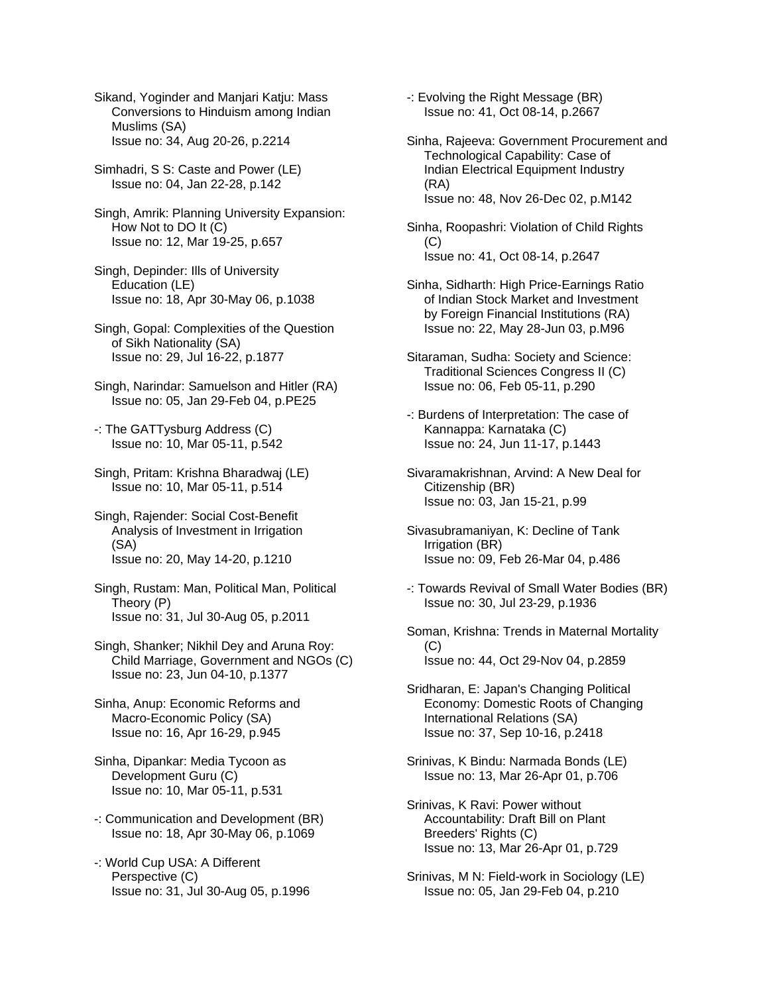Sikand, Yoginder and Manjari Katju: Mass Conversions to Hinduism among Indian Muslims (SA) Issue no: 34, Aug 20-26, p.2214

Simhadri, S S: Caste and Power (LE) Issue no: 04, Jan 22-28, p.142

Singh, Amrik: Planning University Expansion: How Not to DO It (C) Issue no: 12, Mar 19-25, p.657

- Singh, Depinder: Ills of University Education (LE) Issue no: 18, Apr 30-May 06, p.1038
- Singh, Gopal: Complexities of the Question of Sikh Nationality (SA) Issue no: 29, Jul 16-22, p.1877
- Singh, Narindar: Samuelson and Hitler (RA) Issue no: 05, Jan 29-Feb 04, p.PE25
- -: The GATTysburg Address (C) Issue no: 10, Mar 05-11, p.542
- Singh, Pritam: Krishna Bharadwaj (LE) Issue no: 10, Mar 05-11, p.514
- Singh, Rajender: Social Cost-Benefit Analysis of Investment in Irrigation (SA) Issue no: 20, May 14-20, p.1210
- Singh, Rustam: Man, Political Man, Political Theory (P) Issue no: 31, Jul 30-Aug 05, p.2011
- Singh, Shanker; Nikhil Dey and Aruna Roy: Child Marriage, Government and NGOs (C) Issue no: 23, Jun 04-10, p.1377
- Sinha, Anup: Economic Reforms and Macro-Economic Policy (SA) Issue no: 16, Apr 16-29, p.945
- Sinha, Dipankar: Media Tycoon as Development Guru (C) Issue no: 10, Mar 05-11, p.531
- -: Communication and Development (BR) Issue no: 18, Apr 30-May 06, p.1069
- -: World Cup USA: A Different Perspective (C) Issue no: 31, Jul 30-Aug 05, p.1996
- -: Evolving the Right Message (BR) Issue no: 41, Oct 08-14, p.2667
- Sinha, Rajeeva: Government Procurement and Technological Capability: Case of Indian Electrical Equipment Industry (RA) Issue no: 48, Nov 26-Dec 02, p.M142
- Sinha, Roopashri: Violation of Child Rights (C) Issue no: 41, Oct 08-14, p.2647
- Sinha, Sidharth: High Price-Earnings Ratio of Indian Stock Market and Investment by Foreign Financial Institutions (RA) Issue no: 22, May 28-Jun 03, p.M96
- Sitaraman, Sudha: Society and Science: Traditional Sciences Congress II (C) Issue no: 06, Feb 05-11, p.290
- -: Burdens of Interpretation: The case of Kannappa: Karnataka (C) Issue no: 24, Jun 11-17, p.1443
- Sivaramakrishnan, Arvind: A New Deal for Citizenship (BR) Issue no: 03, Jan 15-21, p.99
- Sivasubramaniyan, K: Decline of Tank Irrigation (BR) Issue no: 09, Feb 26-Mar 04, p.486
- -: Towards Revival of Small Water Bodies (BR) Issue no: 30, Jul 23-29, p.1936
- Soman, Krishna: Trends in Maternal Mortality  $(C)$ Issue no: 44, Oct 29-Nov 04, p.2859
- Sridharan, E: Japan's Changing Political Economy: Domestic Roots of Changing International Relations (SA) Issue no: 37, Sep 10-16, p.2418
- Srinivas, K Bindu: Narmada Bonds (LE) Issue no: 13, Mar 26-Apr 01, p.706
- Srinivas, K Ravi: Power without Accountability: Draft Bill on Plant Breeders' Rights (C) Issue no: 13, Mar 26-Apr 01, p.729
- Srinivas, M N: Field-work in Sociology (LE) Issue no: 05, Jan 29-Feb 04, p.210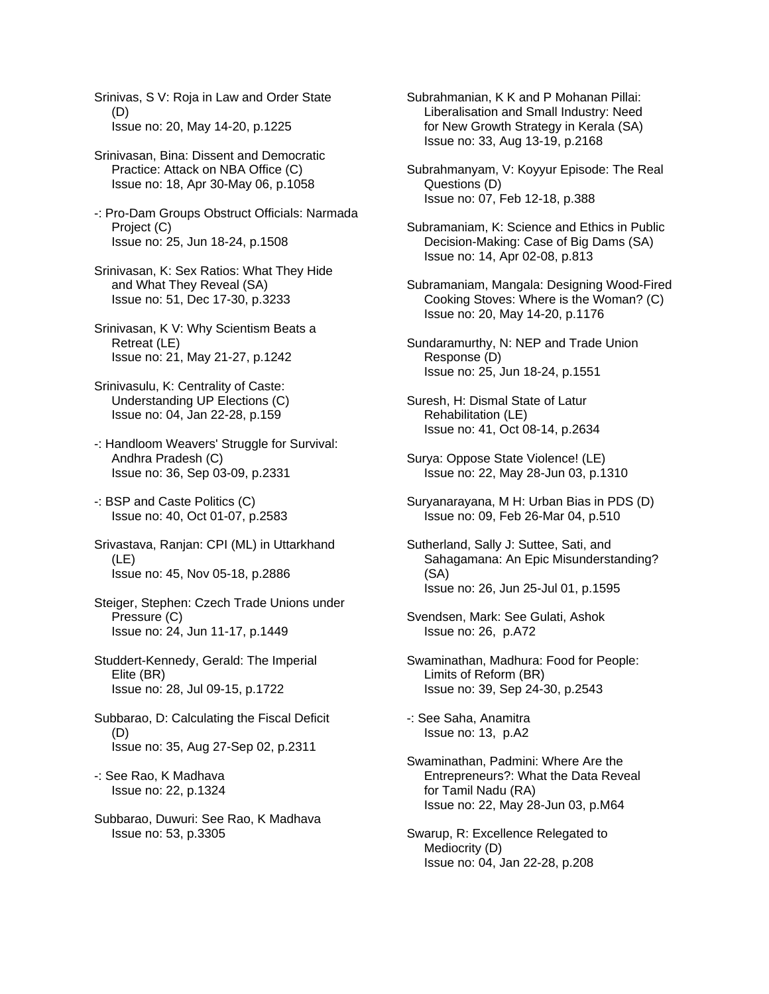Srinivas, S V: Roja in Law and Order State (D) Issue no: 20, May 14-20, p.1225

- Srinivasan, Bina: Dissent and Democratic Practice: Attack on NBA Office (C) Issue no: 18, Apr 30-May 06, p.1058
- -: Pro-Dam Groups Obstruct Officials: Narmada Project (C) Issue no: 25, Jun 18-24, p.1508
- Srinivasan, K: Sex Ratios: What They Hide and What They Reveal (SA) Issue no: 51, Dec 17-30, p.3233
- Srinivasan, K V: Why Scientism Beats a Retreat (LE) Issue no: 21, May 21-27, p.1242
- Srinivasulu, K: Centrality of Caste: Understanding UP Elections (C) Issue no: 04, Jan 22-28, p.159
- -: Handloom Weavers' Struggle for Survival: Andhra Pradesh (C) Issue no: 36, Sep 03-09, p.2331
- -: BSP and Caste Politics (C) Issue no: 40, Oct 01-07, p.2583
- Srivastava, Ranjan: CPI (ML) in Uttarkhand (LE) Issue no: 45, Nov 05-18, p.2886
- Steiger, Stephen: Czech Trade Unions under Pressure (C) Issue no: 24, Jun 11-17, p.1449
- Studdert-Kennedy, Gerald: The Imperial Elite (BR) Issue no: 28, Jul 09-15, p.1722
- Subbarao, D: Calculating the Fiscal Deficit (D) Issue no: 35, Aug 27-Sep 02, p.2311
- -: See Rao, K Madhava Issue no: 22, p.1324
- Subbarao, Duwuri: See Rao, K Madhava Issue no: 53, p.3305
- Subrahmanian, K K and P Mohanan Pillai: Liberalisation and Small Industry: Need for New Growth Strategy in Kerala (SA) Issue no: 33, Aug 13-19, p.2168
- Subrahmanyam, V: Koyyur Episode: The Real Questions (D) Issue no: 07, Feb 12-18, p.388
- Subramaniam, K: Science and Ethics in Public Decision-Making: Case of Big Dams (SA) Issue no: 14, Apr 02-08, p.813
- Subramaniam, Mangala: Designing Wood-Fired Cooking Stoves: Where is the Woman? (C) Issue no: 20, May 14-20, p.1176
- Sundaramurthy, N: NEP and Trade Union Response (D) Issue no: 25, Jun 18-24, p.1551
- Suresh, H: Dismal State of Latur Rehabilitation (LE) Issue no: 41, Oct 08-14, p.2634
- Surya: Oppose State Violence! (LE) Issue no: 22, May 28-Jun 03, p.1310
- Suryanarayana, M H: Urban Bias in PDS (D) Issue no: 09, Feb 26-Mar 04, p.510
- Sutherland, Sally J: Suttee, Sati, and Sahagamana: An Epic Misunderstanding? (SA) Issue no: 26, Jun 25-Jul 01, p.1595
- Svendsen, Mark: See Gulati, Ashok Issue no: 26, p.A72
- Swaminathan, Madhura: Food for People: Limits of Reform (BR) Issue no: 39, Sep 24-30, p.2543
- -: See Saha, Anamitra Issue no: 13, p.A2
- Swaminathan, Padmini: Where Are the Entrepreneurs?: What the Data Reveal for Tamil Nadu (RA) Issue no: 22, May 28-Jun 03, p.M64
- Swarup, R: Excellence Relegated to Mediocrity (D) Issue no: 04, Jan 22-28, p.208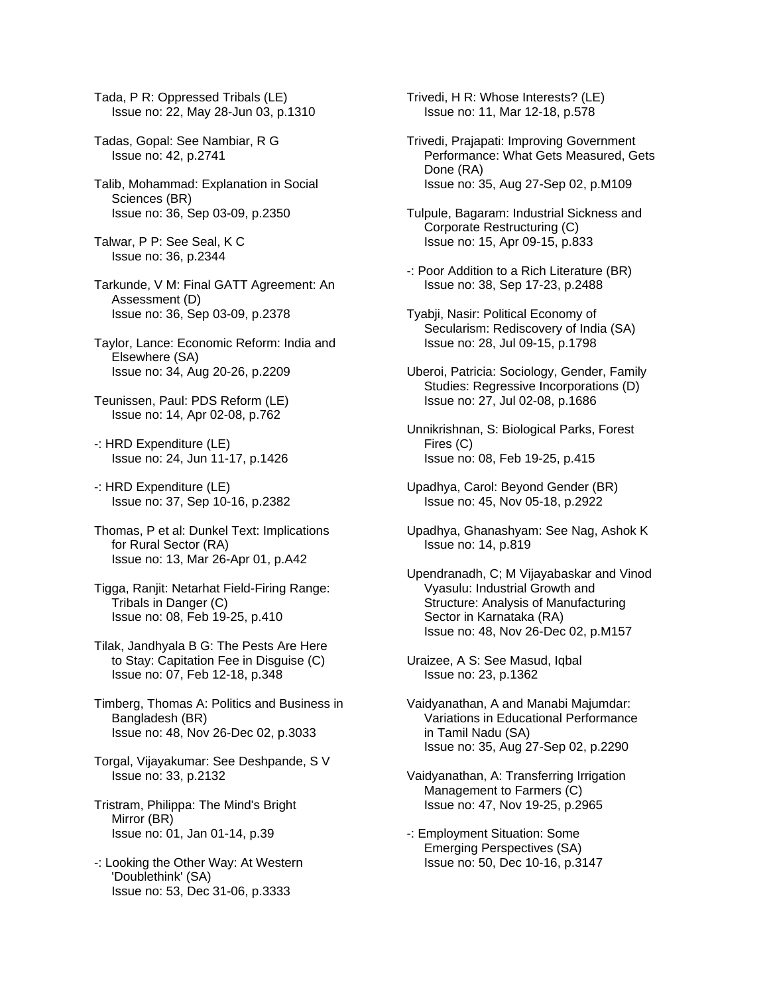Tada, P R: Oppressed Tribals (LE) Issue no: 22, May 28-Jun 03, p.1310

- Tadas, Gopal: See Nambiar, R G Issue no: 42, p.2741
- Talib, Mohammad: Explanation in Social Sciences (BR) Issue no: 36, Sep 03-09, p.2350
- Talwar, P P: See Seal, K C Issue no: 36, p.2344
- Tarkunde, V M: Final GATT Agreement: An Assessment (D) Issue no: 36, Sep 03-09, p.2378
- Taylor, Lance: Economic Reform: India and Elsewhere (SA) Issue no: 34, Aug 20-26, p.2209
- Teunissen, Paul: PDS Reform (LE) Issue no: 14, Apr 02-08, p.762
- -: HRD Expenditure (LE) Issue no: 24, Jun 11-17, p.1426
- -: HRD Expenditure (LE) Issue no: 37, Sep 10-16, p.2382
- Thomas, P et al: Dunkel Text: Implications for Rural Sector (RA) Issue no: 13, Mar 26-Apr 01, p.A42
- Tigga, Ranjit: Netarhat Field-Firing Range: Tribals in Danger (C) Issue no: 08, Feb 19-25, p.410
- Tilak, Jandhyala B G: The Pests Are Here to Stay: Capitation Fee in Disguise (C) Issue no: 07, Feb 12-18, p.348
- Timberg, Thomas A: Politics and Business in Bangladesh (BR) Issue no: 48, Nov 26-Dec 02, p.3033
- Torgal, Vijayakumar: See Deshpande, S V Issue no: 33, p.2132
- Tristram, Philippa: The Mind's Bright Mirror (BR) Issue no: 01, Jan 01-14, p.39
- -: Looking the Other Way: At Western 'Doublethink' (SA) Issue no: 53, Dec 31-06, p.3333

Trivedi, H R: Whose Interests? (LE) Issue no: 11, Mar 12-18, p.578

- Trivedi, Prajapati: Improving Government Performance: What Gets Measured, Gets Done (RA) Issue no: 35, Aug 27-Sep 02, p.M109
- Tulpule, Bagaram: Industrial Sickness and Corporate Restructuring (C) Issue no: 15, Apr 09-15, p.833
- -: Poor Addition to a Rich Literature (BR) Issue no: 38, Sep 17-23, p.2488
- Tyabji, Nasir: Political Economy of Secularism: Rediscovery of India (SA) Issue no: 28, Jul 09-15, p.1798
- Uberoi, Patricia: Sociology, Gender, Family Studies: Regressive Incorporations (D) Issue no: 27, Jul 02-08, p.1686
- Unnikrishnan, S: Biological Parks, Forest Fires (C) Issue no: 08, Feb 19-25, p.415
- Upadhya, Carol: Beyond Gender (BR) Issue no: 45, Nov 05-18, p.2922
- Upadhya, Ghanashyam: See Nag, Ashok K Issue no: 14, p.819
- Upendranadh, C; M Vijayabaskar and Vinod Vyasulu: Industrial Growth and Structure: Analysis of Manufacturing Sector in Karnataka (RA) Issue no: 48, Nov 26-Dec 02, p.M157

Uraizee, A S: See Masud, Iqbal Issue no: 23, p.1362

- Vaidyanathan, A and Manabi Majumdar: Variations in Educational Performance in Tamil Nadu (SA) Issue no: 35, Aug 27-Sep 02, p.2290
- Vaidyanathan, A: Transferring Irrigation Management to Farmers (C) Issue no: 47, Nov 19-25, p.2965
- -: Employment Situation: Some Emerging Perspectives (SA) Issue no: 50, Dec 10-16, p.3147